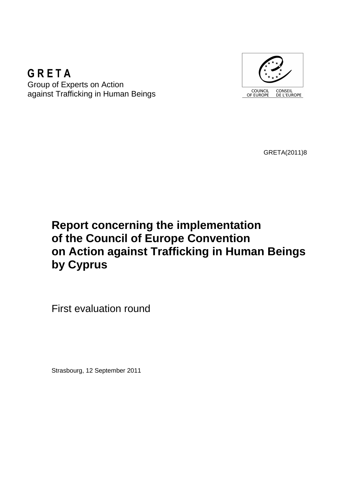## **GRETA** Group of Experts on Action against Trafficking in Human Beings



GRETA(2011)8

# **Report concerning the implementation of the Council of Europe Convention on Action against Trafficking in Human Beings by Cyprus**

First evaluation round

Strasbourg, 12 September 2011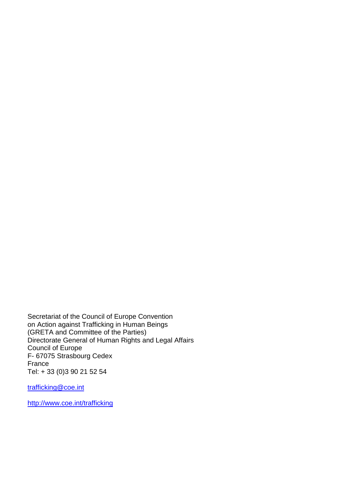Secretariat of the Council of Europe Convention on Action against Trafficking in Human Beings (GRETA and Committee of the Parties) Directorate General of Human Rights and Legal Affairs Council of Europe F- 67075 Strasbourg Cedex France Tel: + 33 (0)3 90 21 52 54

trafficking@coe.int

http://www.coe.int/trafficking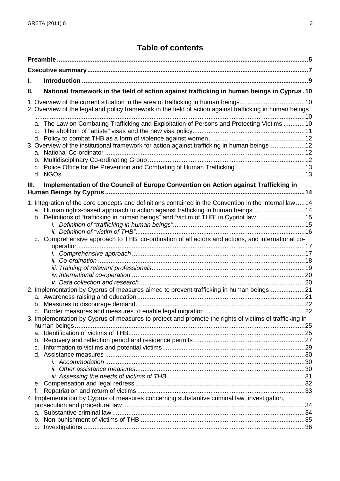## **Table of contents**

\_\_\_\_\_\_\_\_\_\_\_\_\_\_\_\_\_\_\_\_\_\_\_\_\_\_\_\_\_\_\_\_\_\_\_\_\_\_\_\_\_\_\_\_\_\_\_\_\_\_\_\_\_\_\_\_\_\_\_\_\_\_\_\_\_\_\_\_\_\_\_\_\_\_\_\_\_\_\_\_\_\_\_\_\_\_\_\_\_\_\_\_\_\_\_\_\_\_\_\_\_\_\_\_\_\_\_\_\_\_\_

| L. |                                                                                                                                                                        |  |  |
|----|------------------------------------------------------------------------------------------------------------------------------------------------------------------------|--|--|
| Ш. | National framework in the field of action against trafficking in human beings in Cyprus .10                                                                            |  |  |
|    | 1. Overview of the current situation in the area of trafficking in human beings 10                                                                                     |  |  |
|    | 2. Overview of the legal and policy framework in the field of action against trafficking in human beings                                                               |  |  |
|    |                                                                                                                                                                        |  |  |
|    | a. The Law on Combating Trafficking and Exploitation of Persons and Protecting Victims 10                                                                              |  |  |
|    |                                                                                                                                                                        |  |  |
|    |                                                                                                                                                                        |  |  |
|    | 3. Overview of the institutional framework for action against trafficking in human beings12                                                                            |  |  |
|    |                                                                                                                                                                        |  |  |
|    |                                                                                                                                                                        |  |  |
|    |                                                                                                                                                                        |  |  |
| Ш. | Implementation of the Council of Europe Convention on Action against Trafficking in                                                                                    |  |  |
|    |                                                                                                                                                                        |  |  |
|    |                                                                                                                                                                        |  |  |
|    | 1. Integration of the core concepts and definitions contained in the Convention in the internal law14                                                                  |  |  |
|    | a. Human rights-based approach to action against trafficking in human beings14<br>b. Definitions of "trafficking in human beings" and "victim of THB" in Cypriot law15 |  |  |
|    |                                                                                                                                                                        |  |  |
|    |                                                                                                                                                                        |  |  |
|    | c. Comprehensive approach to THB, co-ordination of all actors and actions, and international co-                                                                       |  |  |
|    |                                                                                                                                                                        |  |  |
|    |                                                                                                                                                                        |  |  |
|    |                                                                                                                                                                        |  |  |
|    |                                                                                                                                                                        |  |  |
|    |                                                                                                                                                                        |  |  |
|    | 2. Implementation by Cyprus of measures aimed to prevent trafficking in human beings21                                                                                 |  |  |
|    |                                                                                                                                                                        |  |  |
|    |                                                                                                                                                                        |  |  |
|    |                                                                                                                                                                        |  |  |
|    | 3. Implementation by Cyprus of measures to protect and promote the rights of victims of trafficking in                                                                 |  |  |
|    |                                                                                                                                                                        |  |  |
|    |                                                                                                                                                                        |  |  |
|    | b.                                                                                                                                                                     |  |  |
|    | c.                                                                                                                                                                     |  |  |
|    |                                                                                                                                                                        |  |  |
|    |                                                                                                                                                                        |  |  |
|    |                                                                                                                                                                        |  |  |
|    |                                                                                                                                                                        |  |  |
|    | f.                                                                                                                                                                     |  |  |
|    | 4. Implementation by Cyprus of measures concerning substantive criminal law, investigation,                                                                            |  |  |
|    |                                                                                                                                                                        |  |  |
|    |                                                                                                                                                                        |  |  |
|    | C.                                                                                                                                                                     |  |  |
|    |                                                                                                                                                                        |  |  |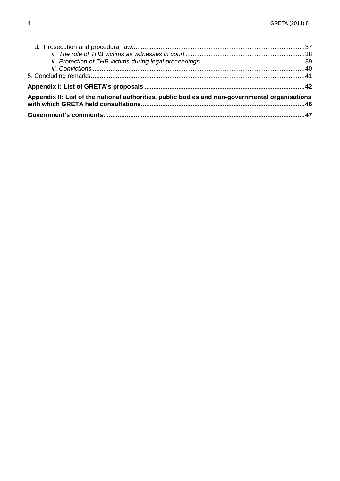| Appendix II: List of the national authorities, public bodies and non-governmental organisations |  |
|-------------------------------------------------------------------------------------------------|--|
|                                                                                                 |  |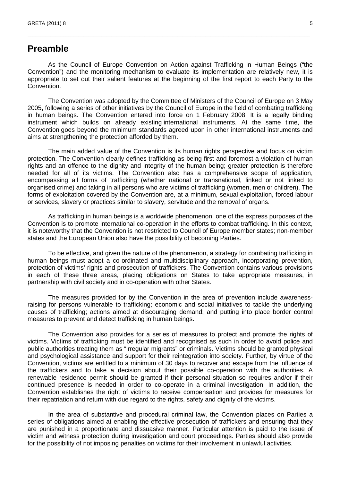## **Preamble**

As the Council of Europe Convention on Action against Trafficking in Human Beings ("the Convention") and the monitoring mechanism to evaluate its implementation are relatively new, it is appropriate to set out their salient features at the beginning of the first report to each Party to the Convention.

\_\_\_\_\_\_\_\_\_\_\_\_\_\_\_\_\_\_\_\_\_\_\_\_\_\_\_\_\_\_\_\_\_\_\_\_\_\_\_\_\_\_\_\_\_\_\_\_\_\_\_\_\_\_\_\_\_\_\_\_\_\_\_\_\_\_\_\_\_\_\_\_\_\_\_\_\_\_\_\_\_\_\_\_\_\_\_\_\_\_\_\_\_\_\_\_\_\_\_\_\_\_\_\_\_\_\_\_\_\_\_

The Convention was adopted by the Committee of Ministers of the Council of Europe on 3 May 2005, following a series of other initiatives by the Council of Europe in the field of combating trafficking in human beings. The Convention entered into force on 1 February 2008. It is a legally binding instrument which builds on already existing international instruments. At the same time, the Convention goes beyond the minimum standards agreed upon in other international instruments and aims at strengthening the protection afforded by them.

The main added value of the Convention is its human rights perspective and focus on victim protection. The Convention clearly defines trafficking as being first and foremost a violation of human rights and an offence to the dignity and integrity of the human being; greater protection is therefore needed for all of its victims. The Convention also has a comprehensive scope of application, encompassing all forms of trafficking (whether national or transnational, linked or not linked to organised crime) and taking in all persons who are victims of trafficking (women, men or children). The forms of exploitation covered by the Convention are, at a minimum, sexual exploitation, forced labour or services, slavery or practices similar to slavery, servitude and the removal of organs.

As trafficking in human beings is a worldwide phenomenon, one of the express purposes of the Convention is to promote international co-operation in the efforts to combat trafficking. In this context, it is noteworthy that the Convention is not restricted to Council of Europe member states; non-member states and the European Union also have the possibility of becoming Parties.

To be effective, and given the nature of the phenomenon, a strategy for combating trafficking in human beings must adopt a co-ordinated and multidisciplinary approach, incorporating prevention, protection of victims' rights and prosecution of traffickers. The Convention contains various provisions in each of these three areas, placing obligations on States to take appropriate measures, in partnership with civil society and in co-operation with other States.

The measures provided for by the Convention in the area of prevention include awarenessraising for persons vulnerable to trafficking; economic and social initiatives to tackle the underlying causes of trafficking; actions aimed at discouraging demand; and putting into place border control measures to prevent and detect trafficking in human beings.

The Convention also provides for a series of measures to protect and promote the rights of victims. Victims of trafficking must be identified and recognised as such in order to avoid police and public authorities treating them as "irregular migrants" or criminals. Victims should be granted physical and psychological assistance and support for their reintegration into society. Further, by virtue of the Convention, victims are entitled to a minimum of 30 days to recover and escape from the influence of the traffickers and to take a decision about their possible co-operation with the authorities. A renewable residence permit should be granted if their personal situation so requires and/or if their continued presence is needed in order to co-operate in a criminal investigation. In addition, the Convention establishes the right of victims to receive compensation and provides for measures for their repatriation and return with due regard to the rights, safety and dignity of the victims.

In the area of substantive and procedural criminal law, the Convention places on Parties a series of obligations aimed at enabling the effective prosecution of traffickers and ensuring that they are punished in a proportionate and dissuasive manner. Particular attention is paid to the issue of victim and witness protection during investigation and court proceedings. Parties should also provide for the possibility of not imposing penalties on victims for their involvement in unlawful activities.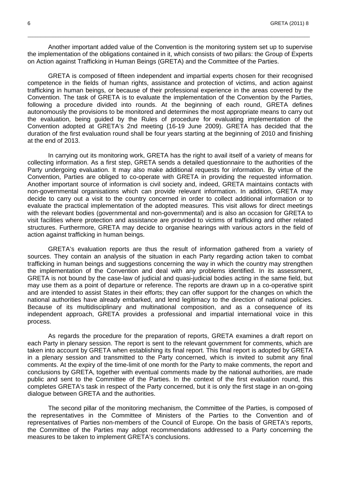Another important added value of the Convention is the monitoring system set up to supervise the implementation of the obligations contained in it, which consists of two pillars: the Group of Experts on Action against Trafficking in Human Beings (GRETA) and the Committee of the Parties.

\_\_\_\_\_\_\_\_\_\_\_\_\_\_\_\_\_\_\_\_\_\_\_\_\_\_\_\_\_\_\_\_\_\_\_\_\_\_\_\_\_\_\_\_\_\_\_\_\_\_\_\_\_\_\_\_\_\_\_\_\_\_\_\_\_\_\_\_\_\_\_\_\_\_\_\_\_\_\_\_\_\_\_\_\_\_\_\_\_\_\_\_\_\_\_\_\_\_\_\_\_\_\_\_\_\_\_\_\_\_\_

GRETA is composed of fifteen independent and impartial experts chosen for their recognised competence in the fields of human rights, assistance and protection of victims, and action against trafficking in human beings, or because of their professional experience in the areas covered by the Convention. The task of GRETA is to evaluate the implementation of the Convention by the Parties, following a procedure divided into rounds. At the beginning of each round, GRETA defines autonomously the provisions to be monitored and determines the most appropriate means to carry out the evaluation, being guided by the Rules of procedure for evaluating implementation of the Convention adopted at GRETA's 2nd meeting (16-19 June 2009). GRETA has decided that the duration of the first evaluation round shall be four years starting at the beginning of 2010 and finishing at the end of 2013.

In carrying out its monitoring work, GRETA has the right to avail itself of a variety of means for collecting information. As a first step, GRETA sends a detailed questionnaire to the authorities of the Party undergoing evaluation. It may also make additional requests for information. By virtue of the Convention, Parties are obliged to co-operate with GRETA in providing the requested information. Another important source of information is civil society and, indeed, GRETA maintains contacts with non-governmental organisations which can provide relevant information. In addition, GRETA may decide to carry out a visit to the country concerned in order to collect additional information or to evaluate the practical implementation of the adopted measures. This visit allows for direct meetings with the relevant bodies (governmental and non-governmental) and is also an occasion for GRETA to visit facilities where protection and assistance are provided to victims of trafficking and other related structures. Furthermore, GRETA may decide to organise hearings with various actors in the field of action against trafficking in human beings.

GRETA's evaluation reports are thus the result of information gathered from a variety of sources. They contain an analysis of the situation in each Party regarding action taken to combat trafficking in human beings and suggestions concerning the way in which the country may strengthen the implementation of the Convention and deal with any problems identified. In its assessment, GRETA is not bound by the case-law of judicial and quasi-judicial bodies acting in the same field, but may use them as a point of departure or reference. The reports are drawn up in a co-operative spirit and are intended to assist States in their efforts; they can offer support for the changes on which the national authorities have already embarked, and lend legitimacy to the direction of national policies. Because of its multidisciplinary and multinational composition, and as a consequence of its independent approach, GRETA provides a professional and impartial international voice in this process.

As regards the procedure for the preparation of reports, GRETA examines a draft report on each Party in plenary session. The report is sent to the relevant government for comments, which are taken into account by GRETA when establishing its final report. This final report is adopted by GRETA in a plenary session and transmitted to the Party concerned, which is invited to submit any final comments. At the expiry of the time-limit of one month for the Party to make comments, the report and conclusions by GRETA, together with eventual comments made by the national authorities, are made public and sent to the Committee of the Parties. In the context of the first evaluation round, this completes GRETA's task in respect of the Party concerned, but it is only the first stage in an on-going dialogue between GRETA and the authorities.

The second pillar of the monitoring mechanism, the Committee of the Parties, is composed of the representatives in the Committee of Ministers of the Parties to the Convention and of representatives of Parties non-members of the Council of Europe. On the basis of GRETA's reports, the Committee of the Parties may adopt recommendations addressed to a Party concerning the measures to be taken to implement GRETA's conclusions.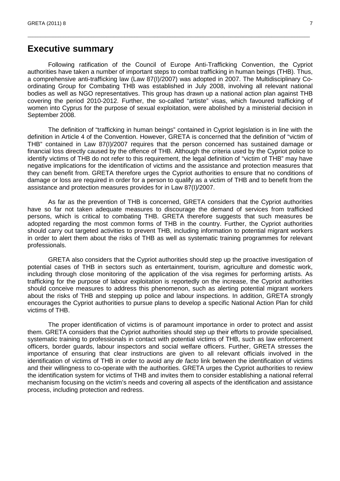## **Executive summary**

Following ratification of the Council of Europe Anti-Trafficking Convention, the Cypriot authorities have taken a number of important steps to combat trafficking in human beings (THB). Thus, a comprehensive anti-trafficking law (Law 87(I)/2007) was adopted in 2007. The Multidisciplinary Coordinating Group for Combating THB was established in July 2008, involving all relevant national bodies as well as NGO representatives. This group has drawn up a national action plan against THB covering the period 2010-2012. Further, the so-called "artiste" visas, which favoured trafficking of women into Cyprus for the purpose of sexual exploitation, were abolished by a ministerial decision in September 2008.

\_\_\_\_\_\_\_\_\_\_\_\_\_\_\_\_\_\_\_\_\_\_\_\_\_\_\_\_\_\_\_\_\_\_\_\_\_\_\_\_\_\_\_\_\_\_\_\_\_\_\_\_\_\_\_\_\_\_\_\_\_\_\_\_\_\_\_\_\_\_\_\_\_\_\_\_\_\_\_\_\_\_\_\_\_\_\_\_\_\_\_\_\_\_\_\_\_\_\_\_\_\_\_\_\_\_\_\_\_\_\_

The definition of "trafficking in human beings" contained in Cypriot legislation is in line with the definition in Article 4 of the Convention. However, GRETA is concerned that the definition of "victim of THB" contained in Law 87(I)/2007 requires that the person concerned has sustained damage or financial loss directly caused by the offence of THB. Although the criteria used by the Cypriot police to identify victims of THB do not refer to this requirement, the legal definition of "victim of THB" may have negative implications for the identification of victims and the assistance and protection measures that they can benefit from. GRETA therefore urges the Cypriot authorities to ensure that no conditions of damage or loss are required in order for a person to qualify as a victim of THB and to benefit from the assistance and protection measures provides for in Law 87(I)/2007.

As far as the prevention of THB is concerned, GRETA considers that the Cypriot authorities have so far not taken adequate measures to discourage the demand of services from trafficked persons, which is critical to combating THB. GRETA therefore suggests that such measures be adopted regarding the most common forms of THB in the country. Further, the Cypriot authorities should carry out targeted activities to prevent THB, including information to potential migrant workers in order to alert them about the risks of THB as well as systematic training programmes for relevant professionals.

GRETA also considers that the Cypriot authorities should step up the proactive investigation of potential cases of THB in sectors such as entertainment, tourism, agriculture and domestic work, including through close monitoring of the application of the visa regimes for performing artists. As trafficking for the purpose of labour exploitation is reportedly on the increase, the Cypriot authorities should conceive measures to address this phenomenon, such as alerting potential migrant workers about the risks of THB and stepping up police and labour inspections. In addition, GRETA strongly encourages the Cypriot authorities to pursue plans to develop a specific National Action Plan for child victims of THB.

The proper identification of victims is of paramount importance in order to protect and assist them. GRETA considers that the Cypriot authorities should step up their efforts to provide specialised, systematic training to professionals in contact with potential victims of THB, such as law enforcement officers, border guards, labour inspectors and social welfare officers. Further, GRETA stresses the importance of ensuring that clear instructions are given to all relevant officials involved in the identification of victims of THB in order to avoid any de facto link between the identification of victims and their willingness to co-operate with the authorities. GRETA urges the Cypriot authorities to review the identification system for victims of THB and invites them to consider establishing a national referral mechanism focusing on the victim's needs and covering all aspects of the identification and assistance process, including protection and redress.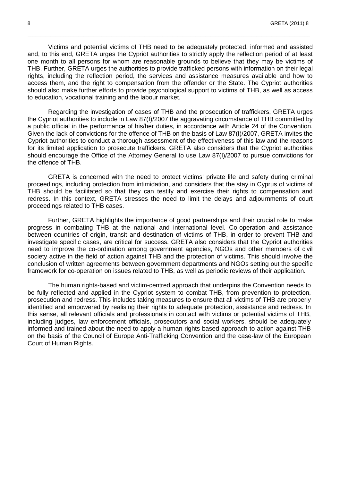Victims and potential victims of THB need to be adequately protected, informed and assisted and, to this end, GRETA urges the Cypriot authorities to strictly apply the reflection period of at least one month to all persons for whom are reasonable grounds to believe that they may be victims of THB. Further, GRETA urges the authorities to provide trafficked persons with information on their legal rights, including the reflection period, the services and assistance measures available and how to access them, and the right to compensation from the offender or the State. The Cypriot authorities should also make further efforts to provide psychological support to victims of THB, as well as access to education, vocational training and the labour market.

\_\_\_\_\_\_\_\_\_\_\_\_\_\_\_\_\_\_\_\_\_\_\_\_\_\_\_\_\_\_\_\_\_\_\_\_\_\_\_\_\_\_\_\_\_\_\_\_\_\_\_\_\_\_\_\_\_\_\_\_\_\_\_\_\_\_\_\_\_\_\_\_\_\_\_\_\_\_\_\_\_\_\_\_\_\_\_\_\_\_\_\_\_\_\_\_\_\_\_\_\_\_\_\_\_\_\_\_\_\_\_

Regarding the investigation of cases of THB and the prosecution of traffickers, GRETA urges the Cypriot authorities to include in Law 87(I)/2007 the aggravating circumstance of THB committed by a public official in the performance of his/her duties, in accordance with Article 24 of the Convention. Given the lack of convictions for the offence of THB on the basis of Law 87(I)/2007, GRETA invites the Cypriot authorities to conduct a thorough assessment of the effectiveness of this law and the reasons for its limited application to prosecute traffickers. GRETA also considers that the Cypriot authorities should encourage the Office of the Attorney General to use Law 87(I)/2007 to pursue convictions for the offence of THB.

GRETA is concerned with the need to protect victims' private life and safety during criminal proceedings, including protection from intimidation, and considers that the stay in Cyprus of victims of THB should be facilitated so that they can testify and exercise their rights to compensation and redress. In this context, GRETA stresses the need to limit the delays and adjournments of court proceedings related to THB cases.

Further, GRETA highlights the importance of good partnerships and their crucial role to make progress in combating THB at the national and international level. Co-operation and assistance between countries of origin, transit and destination of victims of THB, in order to prevent THB and investigate specific cases, are critical for success. GRETA also considers that the Cypriot authorities need to improve the co-ordination among government agencies, NGOs and other members of civil society active in the field of action against THB and the protection of victims. This should involve the conclusion of written agreements between government departments and NGOs setting out the specific framework for co-operation on issues related to THB, as well as periodic reviews of their application.

The human rights-based and victim-centred approach that underpins the Convention needs to be fully reflected and applied in the Cypriot system to combat THB, from prevention to protection, prosecution and redress. This includes taking measures to ensure that all victims of THB are properly identified and empowered by realising their rights to adequate protection, assistance and redress. In this sense, all relevant officials and professionals in contact with victims or potential victims of THB, including judges, law enforcement officials, prosecutors and social workers, should be adequately informed and trained about the need to apply a human rights-based approach to action against THB on the basis of the Council of Europe Anti-Trafficking Convention and the case-law of the European Court of Human Rights.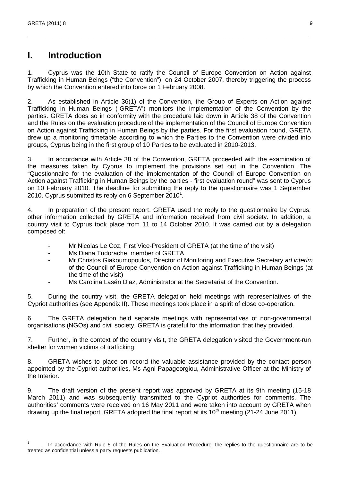## **I. Introduction**

1. Cyprus was the 10th State to ratify the Council of Europe Convention on Action against Trafficking in Human Beings ("the Convention"), on 24 October 2007, thereby triggering the process by which the Convention entered into force on 1 February 2008.

\_\_\_\_\_\_\_\_\_\_\_\_\_\_\_\_\_\_\_\_\_\_\_\_\_\_\_\_\_\_\_\_\_\_\_\_\_\_\_\_\_\_\_\_\_\_\_\_\_\_\_\_\_\_\_\_\_\_\_\_\_\_\_\_\_\_\_\_\_\_\_\_\_\_\_\_\_\_\_\_\_\_\_\_\_\_\_\_\_\_\_\_\_\_\_\_\_\_\_\_\_\_\_\_\_\_\_\_\_\_\_

2. As established in Article 36(1) of the Convention, the Group of Experts on Action against Trafficking in Human Beings ("GRETA") monitors the implementation of the Convention by the parties. GRETA does so in conformity with the procedure laid down in Article 38 of the Convention and the Rules on the evaluation procedure of the implementation of the Council of Europe Convention on Action against Trafficking in Human Beings by the parties. For the first evaluation round, GRETA drew up a monitoring timetable according to which the Parties to the Convention were divided into groups, Cyprus being in the first group of 10 Parties to be evaluated in 2010-2013.

3. In accordance with Article 38 of the Convention, GRETA proceeded with the examination of the measures taken by Cyprus to implement the provisions set out in the Convention. The "Questionnaire for the evaluation of the implementation of the Council of Europe Convention on Action against Trafficking in Human Beings by the parties - first evaluation round" was sent to Cyprus on 10 February 2010. The deadline for submitting the reply to the questionnaire was 1 September 2010. Cyprus submitted its reply on 6 September  $2010<sup>1</sup>$ .

4. In preparation of the present report, GRETA used the reply to the questionnaire by Cyprus, other information collected by GRETA and information received from civil society. In addition, a country visit to Cyprus took place from 11 to 14 October 2010. It was carried out by a delegation composed of:

- Mr Nicolas Le Coz, First Vice-President of GRETA (at the time of the visit)
- Ms Diana Tudorache, member of GRETA
- Mr Christos Giakoumopoulos, Director of Monitoring and Executive Secretary ad interim of the Council of Europe Convention on Action against Trafficking in Human Beings (at the time of the visit)
- Ms Carolina Lasén Diaz, Administrator at the Secretariat of the Convention.

5. During the country visit, the GRETA delegation held meetings with representatives of the Cypriot authorities (see Appendix II). These meetings took place in a spirit of close co-operation.

6. The GRETA delegation held separate meetings with representatives of non-governmental organisations (NGOs) and civil society. GRETA is grateful for the information that they provided.

7. Further, in the context of the country visit, the GRETA delegation visited the Government-run shelter for women victims of trafficking.

8. GRETA wishes to place on record the valuable assistance provided by the contact person appointed by the Cypriot authorities, Ms Agni Papageorgiou, Administrative Officer at the Ministry of the Interior.

9. The draft version of the present report was approved by GRETA at its 9th meeting (15-18 March 2011) and was subsequently transmitted to the Cypriot authorities for comments. The authorities' comments were received on 16 May 2011 and were taken into account by GRETA when drawing up the final report. GRETA adopted the final report at its 10<sup>th</sup> meeting (21-24 June 2011).

 $\overline{a}$ 1 In accordance with Rule 5 of the Rules on the Evaluation Procedure, the replies to the questionnaire are to be treated as confidential unless a party requests publication.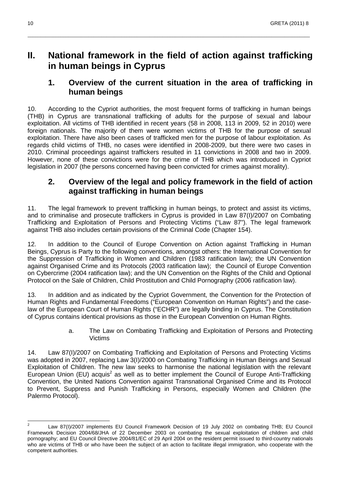## **II. National framework in the field of action against trafficking in human beings in Cyprus**

\_\_\_\_\_\_\_\_\_\_\_\_\_\_\_\_\_\_\_\_\_\_\_\_\_\_\_\_\_\_\_\_\_\_\_\_\_\_\_\_\_\_\_\_\_\_\_\_\_\_\_\_\_\_\_\_\_\_\_\_\_\_\_\_\_\_\_\_\_\_\_\_\_\_\_\_\_\_\_\_\_\_\_\_\_\_\_\_\_\_\_\_\_\_\_\_\_\_\_\_\_\_\_\_\_\_\_\_\_\_\_

## **1. Overview of the current situation in the area of trafficking in human beings**

10. According to the Cypriot authorities, the most frequent forms of trafficking in human beings (THB) in Cyprus are transnational trafficking of adults for the purpose of sexual and labour exploitation. All victims of THB identified in recent years (58 in 2008, 113 in 2009, 52 in 2010) were foreign nationals. The majority of them were women victims of THB for the purpose of sexual exploitation. There have also been cases of trafficked men for the purpose of labour exploitation. As regards child victims of THB, no cases were identified in 2008-2009, but there were two cases in 2010. Criminal proceedings against traffickers resulted in 11 convictions in 2008 and two in 2009. However, none of these convictions were for the crime of THB which was introduced in Cypriot legislation in 2007 (the persons concerned having been convicted for crimes against morality).

## **2. Overview of the legal and policy framework in the field of action against trafficking in human beings**

11. The legal framework to prevent trafficking in human beings, to protect and assist its victims, and to criminalise and prosecute traffickers in Cyprus is provided in Law 87(I)/2007 on Combating Trafficking and Exploitation of Persons and Protecting Victims ("Law 87"). The legal framework against THB also includes certain provisions of the Criminal Code (Chapter 154).

12. In addition to the Council of Europe Convention on Action against Trafficking in Human Beings, Cyprus is Party to the following conventions, amongst others: the International Convention for the Suppression of Trafficking in Women and Children (1983 ratification law); the UN Convention against Organised Crime and its Protocols (2003 ratification law); the Council of Europe Convention on Cybercrime (2004 ratification law); and the UN Convention on the Rights of the Child and Optional Protocol on the Sale of Children, Child Prostitution and Child Pornography (2006 ratification law).

13. In addition and as indicated by the Cypriot Government, the Convention for the Protection of Human Rights and Fundamental Freedoms ("European Convention on Human Rights") and the caselaw of the European Court of Human Rights ("ECHR") are legally binding in Cyprus. The Constitution of Cyprus contains identical provisions as those in the European Convention on Human Rights.

> a. The Law on Combating Trafficking and Exploitation of Persons and Protecting Victims

14. Law 87(I)/2007 on Combating Trafficking and Exploitation of Persons and Protecting Victims was adopted in 2007, replacing Law 3(I)/2000 on Combating Trafficking in Human Beings and Sexual Exploitation of Children. The new law seeks to harmonise the national legislation with the relevant European Union (EU) acquis<sup>2</sup> as well as to better implement the Council of Europe Anti-Trafficking Convention, the United Nations Convention against Transnational Organised Crime and its Protocol to Prevent, Suppress and Punish Trafficking in Persons, especially Women and Children (the Palermo Protocol).

 $\frac{1}{2}$  Law 87(I)/2007 implements EU Council Framework Decision of 19 July 2002 on combating THB; EU Council Framework Decision 2004/68/JHA of 22 December 2003 on combating the sexual exploitation of children and child pornography; and EU Council Directive 2004/81/EC of 29 April 2004 on the resident permit issued to third-country nationals who are victims of THB or who have been the subject of an action to facilitate illegal immigration, who cooperate with the competent authorities.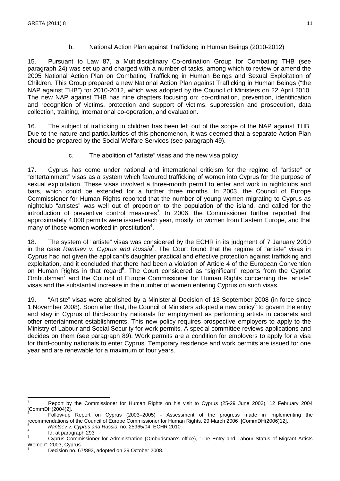### b. National Action Plan against Trafficking in Human Beings (2010-2012)

15. Pursuant to Law 87, a Multidisciplinary Co-ordination Group for Combating THB (see paragraph 24) was set up and charged with a number of tasks, among which to review or amend the 2005 National Action Plan on Combating Trafficking in Human Beings and Sexual Exploitation of Children. This Group prepared a new National Action Plan against Trafficking in Human Beings ("the NAP against THB") for 2010-2012, which was adopted by the Council of Ministers on 22 April 2010. The new NAP against THB has nine chapters focusing on: co-ordination, prevention, identification and recognition of victims, protection and support of victims, suppression and prosecution, data collection, training, international co-operation, and evaluation.

\_\_\_\_\_\_\_\_\_\_\_\_\_\_\_\_\_\_\_\_\_\_\_\_\_\_\_\_\_\_\_\_\_\_\_\_\_\_\_\_\_\_\_\_\_\_\_\_\_\_\_\_\_\_\_\_\_\_\_\_\_\_\_\_\_\_\_\_\_\_\_\_\_\_\_\_\_\_\_\_\_\_\_\_\_\_\_\_\_\_\_\_\_\_\_\_\_\_\_\_\_\_\_\_\_\_\_\_\_\_\_

16. The subject of trafficking in children has been left out of the scope of the NAP against THB. Due to the nature and particularities of this phenomenon, it was deemed that a separate Action Plan should be prepared by the Social Welfare Services (see paragraph 49).

c. The abolition of "artiste" visas and the new visa policy

17. Cyprus has come under national and international criticism for the regime of "artiste" or "entertainment" visas as a system which favoured trafficking of women into Cyprus for the purpose of sexual exploitation. These visas involved a three-month permit to enter and work in nightclubs and bars, which could be extended for a further three months. In 2003, the Council of Europe Commissioner for Human Rights reported that the number of young women migrating to Cyprus as nightclub "artistes" was well out of proportion to the population of the island, and called for the introduction of preventive control measures<sup>3</sup>. In 2006, the Commissioner further reported that approximately 4,000 permits were issued each year, mostly for women from Eastern Europe, and that many of those women worked in prostitution<sup>4</sup>.

18. The system of "artiste" visas was considered by the ECHR in its judgment of 7 January 2010 in the case Rantsev v. Cyprus and Russia<sup>5</sup>. The Court found that the regime of "artiste" visas in Cyprus had not given the applicant's daughter practical and effective protection against trafficking and exploitation, and it concluded that there had been a violation of Article 4 of the European Convention on Human Rights in that regard<sup>6</sup>. The Court considered as "significant" reports from the Cypriot Ombudsman<sup>7</sup> and the Council of Europe Commissioner for Human Rights concerning the "artiste" visas and the substantial increase in the number of women entering Cyprus on such visas.

19. "Artiste" visas were abolished by a Ministerial Decision of 13 September 2008 (in force since 1 November 2008). Soon after that, the Council of Ministers adopted a new policy<sup>8</sup> to govern the entry and stay in Cyprus of third-country nationals for employment as performing artists in cabarets and other entertainment establishments. This new policy requires prospective employers to apply to the Ministry of Labour and Social Security for work permits. A special committee reviews applications and decides on them (see paragraph 89). Work permits are a condition for employers to apply for a visa for third-country nationals to enter Cyprus. Temporary residence and work permits are issued for one year and are renewable for a maximum of four years.

<sup>-&</sup>lt;br>3 Report by the Commissioner for Human Rights on his visit to Cyprus (25-29 June 2003), 12 February 2004 [CommDH(2004)2]. 4

Follow-up Report on Cyprus (2003–2005) - Assessment of the progress made in implementing the recommendations of the Council of Europe Commissioner for Human Rights, 29 March 2006 [CommDH(2006)12].

Rantsev v. Cyprus and Russia, no. 25965/04, ECHR 2010. 6

Id. at paragraph 293 7

Cyprus Commissioner for Administration (Ombudsman's office), "The Entry and Labour Status of Migrant Artists Women", 2003, Cyprus. 8

Decision no. 67/893, adopted on 29 October 2008.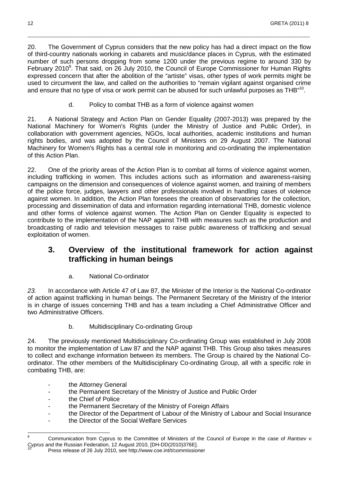20. The Government of Cyprus considers that the new policy has had a direct impact on the flow of third-country nationals working in cabarets and music/dance places in Cyprus, with the estimated number of such persons dropping from some 1200 under the previous regime to around 330 by February 2010<sup>9</sup>. That said, on 26 July 2010, the Council of Europe Commissioner for Human Rights expressed concern that after the abolition of the "artiste" visas, other types of work permits might be used to circumvent the law, and called on the authorities to "remain vigilant against organised crime and ensure that no type of visa or work permit can be abused for such unlawful purposes as THB"<sup>10</sup>.

\_\_\_\_\_\_\_\_\_\_\_\_\_\_\_\_\_\_\_\_\_\_\_\_\_\_\_\_\_\_\_\_\_\_\_\_\_\_\_\_\_\_\_\_\_\_\_\_\_\_\_\_\_\_\_\_\_\_\_\_\_\_\_\_\_\_\_\_\_\_\_\_\_\_\_\_\_\_\_\_\_\_\_\_\_\_\_\_\_\_\_\_\_\_\_\_\_\_\_\_\_\_\_\_\_\_\_\_\_\_\_

d. Policy to combat THB as a form of violence against women

21. A National Strategy and Action Plan on Gender Equality (2007-2013) was prepared by the National Machinery for Women's Rights (under the Ministry of Justice and Public Order), in collaboration with government agencies, NGOs, local authorities, academic institutions and human rights bodies, and was adopted by the Council of Ministers on 29 August 2007. The National Machinery for Women's Rights has a central role in monitoring and co-ordinating the implementation of this Action Plan.

22. One of the priority areas of the Action Plan is to combat all forms of violence against women, including trafficking in women. This includes actions such as information and awareness-raising campaigns on the dimension and consequences of violence against women, and training of members of the police force, judges, lawyers and other professionals involved in handling cases of violence against women. In addition, the Action Plan foresees the creation of observatories for the collection, processing and dissemination of data and information regarding international THB, domestic violence and other forms of violence against women. The Action Plan on Gender Equality is expected to contribute to the implementation of the NAP against THB with measures such as the production and broadcasting of radio and television messages to raise public awareness of trafficking and sexual exploitation of women.

## **3. Overview of the institutional framework for action against trafficking in human beings**

a. National Co-ordinator

23. In accordance with Article 47 of Law 87, the Minister of the Interior is the National Co-ordinator of action against trafficking in human beings. The Permanent Secretary of the Ministry of the Interior is in charge of issues concerning THB and has a team including a Chief Administrative Officer and two Administrative Officers.

b. Multidisciplinary Co-ordinating Group

24. The previously mentioned Multidisciplinary Co-ordinating Group was established in July 2008 to monitor the implementation of Law 87 and the NAP against THB. This Group also takes measures to collect and exchange information between its members. The Group is chaired by the National Coordinator. The other members of the Multidisciplinary Co-ordinating Group, all with a specific role in combating THB, are:

- the Attorney General
- the Permanent Secretary of the Ministry of Justice and Public Order
- the Chief of Police
- the Permanent Secretary of the Ministry of Foreign Affairs
- the Director of the Department of Labour of the Ministry of Labour and Social Insurance
- the Director of the Social Welfare Services

<sup>-&</sup>lt;br>9 Communication from Cyprus to the Committee of Ministers of the Council of Europe in the case of Rantsev v. Cyprus and the Russian Federation, 12 August 2010, [DH-DD(2010)376E].

<sup>10</sup> Press release of 26 July 2010, see http://www.coe.int/t/commissioner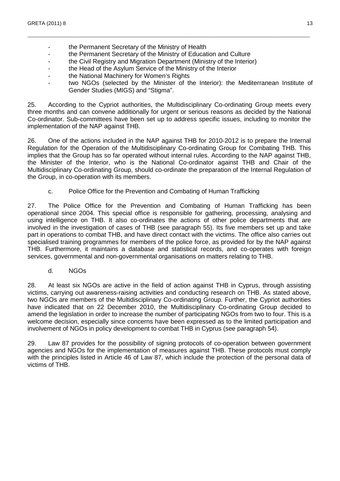- the Permanent Secretary of the Ministry of Health
- the Permanent Secretary of the Ministry of Education and Culture
- the Civil Registry and Migration Department (Ministry of the Interior)
- the Head of the Asylum Service of the Ministry of the Interior
- the National Machinery for Women's Rights
- two NGOs (selected by the Minister of the Interior): the Mediterranean Institute of Gender Studies (MIGS) and "Stigma".

25. According to the Cypriot authorities, the Multidisciplinary Co-ordinating Group meets every three months and can convene additionally for urgent or serious reasons as decided by the National Co-ordinator. Sub-committees have been set up to address specific issues, including to monitor the implementation of the NAP against THB.

\_\_\_\_\_\_\_\_\_\_\_\_\_\_\_\_\_\_\_\_\_\_\_\_\_\_\_\_\_\_\_\_\_\_\_\_\_\_\_\_\_\_\_\_\_\_\_\_\_\_\_\_\_\_\_\_\_\_\_\_\_\_\_\_\_\_\_\_\_\_\_\_\_\_\_\_\_\_\_\_\_\_\_\_\_\_\_\_\_\_\_\_\_\_\_\_\_\_\_\_\_\_\_\_\_\_\_\_\_\_\_

26. One of the actions included in the NAP against THB for 2010-2012 is to prepare the Internal Regulation for the Operation of the Multidisciplinary Co-ordinating Group for Combating THB. This implies that the Group has so far operated without internal rules. According to the NAP against THB, the Minister of the Interior, who is the National Co-ordinator against THB and Chair of the Multidisciplinary Co-ordinating Group, should co-ordinate the preparation of the Internal Regulation of the Group, in co-operation with its members.

c. Police Office for the Prevention and Combating of Human Trafficking

27. The Police Office for the Prevention and Combating of Human Trafficking has been operational since 2004. This special office is responsible for gathering, processing, analysing and using intelligence on THB. It also co-ordinates the actions of other police departments that are involved in the investigation of cases of THB (see paragraph 55). Its five members set up and take part in operations to combat THB, and have direct contact with the victims. The office also carries out specialised training programmes for members of the police force, as provided for by the NAP against THB. Furthermore, it maintains a database and statistical records, and co-operates with foreign services, governmental and non-governmental organisations on matters relating to THB.

d. NGOs

28. At least six NGOs are active in the field of action against THB in Cyprus, through assisting victims, carrying out awareness-raising activities and conducting research on THB. As stated above, two NGOs are members of the Multidisciplinary Co-ordinating Group. Further, the Cypriot authorities have indicated that on 22 December 2010, the Multidisciplinary Co-ordinating Group decided to amend the legislation in order to increase the number of participating NGOs from two to four. This is a welcome decision, especially since concerns have been expressed as to the limited participation and involvement of NGOs in policy development to combat THB in Cyprus (see paragraph 54).

29. Law 87 provides for the possibility of signing protocols of co-operation between government agencies and NGOs for the implementation of measures against THB. These protocols must comply with the principles listed in Article 46 of Law 87, which include the protection of the personal data of victims of THB.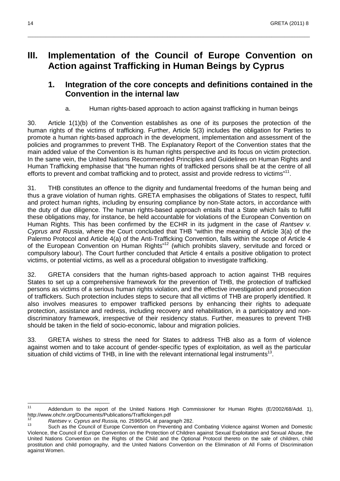## **III. Implementation of the Council of Europe Convention on Action against Trafficking in Human Beings by Cyprus**

\_\_\_\_\_\_\_\_\_\_\_\_\_\_\_\_\_\_\_\_\_\_\_\_\_\_\_\_\_\_\_\_\_\_\_\_\_\_\_\_\_\_\_\_\_\_\_\_\_\_\_\_\_\_\_\_\_\_\_\_\_\_\_\_\_\_\_\_\_\_\_\_\_\_\_\_\_\_\_\_\_\_\_\_\_\_\_\_\_\_\_\_\_\_\_\_\_\_\_\_\_\_\_\_\_\_\_\_\_\_\_

## **1. Integration of the core concepts and definitions contained in the Convention in the internal law**

a. Human rights-based approach to action against trafficking in human beings

30. Article 1(1)(b) of the Convention establishes as one of its purposes the protection of the human rights of the victims of trafficking. Further, Article 5(3) includes the obligation for Parties to promote a human rights-based approach in the development, implementation and assessment of the policies and programmes to prevent THB. The Explanatory Report of the Convention states that the main added value of the Convention is its human rights perspective and its focus on victim protection. In the same vein, the United Nations Recommended Principles and Guidelines on Human Rights and Human Trafficking emphasise that "the human rights of trafficked persons shall be at the centre of all efforts to prevent and combat trafficking and to protect, assist and provide redress to victims"<sup>11</sup>.

31. THB constitutes an offence to the dignity and fundamental freedoms of the human being and thus a grave violation of human rights. GRETA emphasises the obligations of States to respect, fulfil and protect human rights, including by ensuring compliance by non-State actors, in accordance with the duty of due diligence. The human rights-based approach entails that a State which fails to fulfil these obligations may, for instance, be held accountable for violations of the European Convention on Human Rights. This has been confirmed by the ECHR in its judgment in the case of Rantsev v. Cyprus and Russia, where the Court concluded that THB "within the meaning of Article 3(a) of the Palermo Protocol and Article 4(a) of the Anti-Trafficking Convention, falls within the scope of Article 4 of the European Convention on Human Rights<sup>"12</sup> (which prohibits slavery, servitude and forced or compulsory labour). The Court further concluded that Article 4 entails a positive obligation to protect victims, or potential victims, as well as a procedural obligation to investigate trafficking.

32. GRETA considers that the human rights-based approach to action against THB requires States to set up a comprehensive framework for the prevention of THB, the protection of trafficked persons as victims of a serious human rights violation, and the effective investigation and prosecution of traffickers. Such protection includes steps to secure that all victims of THB are properly identified. It also involves measures to empower trafficked persons by enhancing their rights to adequate protection, assistance and redress, including recovery and rehabilitation, in a participatory and nondiscriminatory framework, irrespective of their residency status. Further, measures to prevent THB should be taken in the field of socio-economic, labour and migration policies.

33. GRETA wishes to stress the need for States to address THB also as a form of violence against women and to take account of gender-specific types of exploitation, as well as the particular situation of child victims of THB, in line with the relevant international legal instruments<sup>13</sup>.

 $11$ Addendum to the report of the United Nations High Commissioner for Human Rights (E/2002/68/Add. 1), http://www.ohchr.org/Documents/Publications/Traffickingen.pdf

<sup>12</sup> <sup>12</sup> Rantsev v. Cyprus and Russia, no. 25965/04, at paragraph 282.

Such as the Council of Europe Convention on Preventing and Combating Violence against Women and Domestic Violence, the Council of Europe Convention on the Protection of Children against Sexual Exploitation and Sexual Abuse, the United Nations Convention on the Rights of the Child and the Optional Protocol thereto on the sale of children, child prostitution and child pornography, and the United Nations Convention on the Elimination of All Forms of Discrimination against Women.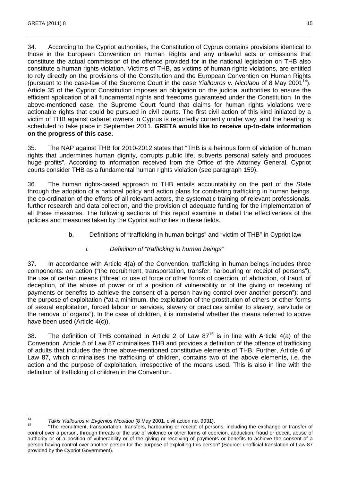34. According to the Cypriot authorities, the Constitution of Cyprus contains provisions identical to those in the European Convention on Human Rights and any unlawful acts or omissions that constitute the actual commission of the offence provided for in the national legislation on THB also constitute a human rights violation. Victims of THB, as victims of human rights violations, are entitled to rely directly on the provisions of the Constitution and the European Convention on Human Rights (pursuant to the case-law of the Supreme Court in the case Yiallouros v. Nicolaou of 8 May 2001<sup>14</sup>). Article 35 of the Cypriot Constitution imposes an obligation on the judicial authorities to ensure the efficient application of all fundamental rights and freedoms guaranteed under the Constitution. In the above-mentioned case, the Supreme Court found that claims for human rights violations were actionable rights that could be pursued in civil courts. The first civil action of this kind initiated by a victim of THB against cabaret owners in Cyprus is reportedly currently under way, and the hearing is scheduled to take place in September 2011. **GRETA would like to receive up-to-date information on the progress of this case.** 

\_\_\_\_\_\_\_\_\_\_\_\_\_\_\_\_\_\_\_\_\_\_\_\_\_\_\_\_\_\_\_\_\_\_\_\_\_\_\_\_\_\_\_\_\_\_\_\_\_\_\_\_\_\_\_\_\_\_\_\_\_\_\_\_\_\_\_\_\_\_\_\_\_\_\_\_\_\_\_\_\_\_\_\_\_\_\_\_\_\_\_\_\_\_\_\_\_\_\_\_\_\_\_\_\_\_\_\_\_\_\_

35. The NAP against THB for 2010-2012 states that "THB is a heinous form of violation of human rights that undermines human dignity, corrupts public life, subverts personal safety and produces huge profits". According to information received from the Office of the Attorney General, Cypriot courts consider THB as a fundamental human rights violation (see paragraph 159).

36. The human rights-based approach to THB entails accountability on the part of the State through the adoption of a national policy and action plans for combating trafficking in human beings, the co-ordination of the efforts of all relevant actors, the systematic training of relevant professionals, further research and data collection, and the provision of adequate funding for the implementation of all these measures. The following sections of this report examine in detail the effectiveness of the policies and measures taken by the Cypriot authorities in these fields.

b. Definitions of "trafficking in human beings" and "victim of THB" in Cypriot law

### i. Definition of "trafficking in human beings"

37. In accordance with Article 4(a) of the Convention, trafficking in human beings includes three components: an action ("the recruitment, transportation, transfer, harbouring or receipt of persons"); the use of certain means ("threat or use of force or other forms of coercion, of abduction, of fraud, of deception, of the abuse of power or of a position of vulnerability or of the giving or receiving of payments or benefits to achieve the consent of a person having control over another person"); and the purpose of exploitation ("at a minimum, the exploitation of the prostitution of others or other forms of sexual exploitation, forced labour or services, slavery or practices similar to slavery, servitude or the removal of organs"). In the case of children, it is immaterial whether the means referred to above have been used (Article 4(c)).

38. The definition of THB contained in Article 2 of Law  $87^{15}$  is in line with Article 4(a) of the Convention. Article 5 of Law 87 criminalises THB and provides a definition of the offence of trafficking of adults that includes the three above-mentioned constitutive elements of THB. Further, Article 6 of Law 87, which criminalises the trafficking of children, contains two of the above elements, i.e. the action and the purpose of exploitation, irrespective of the means used. This is also in line with the definition of trafficking of children in the Convention.

 $\frac{1}{14}$  $T_{\rm H}$ <sup>14</sup> Takis Yiallouros v. Evgenios Nicolaou (8 May 2001, civil action no. 9931).

<sup>15</sup> "The recruitment, transportation, transfers, harbouring or receipt of persons, including the exchange or transfer of control over a person, through threats or the use of violence or other forms of coercion, abduction, fraud or deceit, abuse of authority or of a position of vulnerability or of the giving or receiving of payments or benefits to achieve the consent of a person having control over another person for the purpose of exploiting this person" (Source: unofficial translation of Law 87 provided by the Cypriot Government).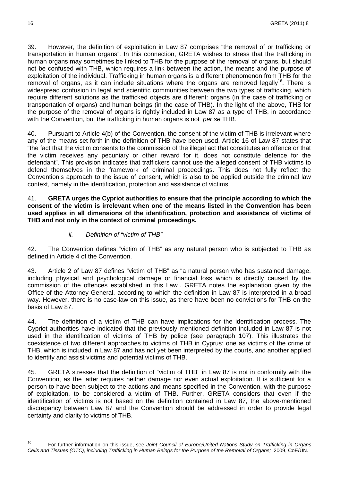39. However, the definition of exploitation in Law 87 comprises "the removal of or trafficking or transportation in human organs". In this connection, GRETA wishes to stress that the trafficking in human organs may sometimes be linked to THB for the purpose of the removal of organs, but should not be confused with THB, which requires a link between the action, the means and the purpose of exploitation of the individual. Trafficking in human organs is a different phenomenon from THB for the removal of organs, as it can include situations where the organs are removed legally<sup>16</sup>. There is widespread confusion in legal and scientific communities between the two types of trafficking, which require different solutions as the trafficked objects are different: organs (in the case of trafficking or transportation of organs) and human beings (in the case of THB). In the light of the above, THB for the purpose of the removal of organs is rightly included in Law 87 as a type of THB, in accordance with the Convention, but the trafficking in human organs is not per se THB.

\_\_\_\_\_\_\_\_\_\_\_\_\_\_\_\_\_\_\_\_\_\_\_\_\_\_\_\_\_\_\_\_\_\_\_\_\_\_\_\_\_\_\_\_\_\_\_\_\_\_\_\_\_\_\_\_\_\_\_\_\_\_\_\_\_\_\_\_\_\_\_\_\_\_\_\_\_\_\_\_\_\_\_\_\_\_\_\_\_\_\_\_\_\_\_\_\_\_\_\_\_\_\_\_\_\_\_\_\_\_\_

40. Pursuant to Article 4(b) of the Convention, the consent of the victim of THB is irrelevant where any of the means set forth in the definition of THB have been used. Article 16 of Law 87 states that "the fact that the victim consents to the commission of the illegal act that constitutes an offence or that the victim receives any pecuniary or other reward for it, does not constitute defence for the defendant". This provision indicates that traffickers cannot use the alleged consent of THB victims to defend themselves in the framework of criminal proceedings. This does not fully reflect the Convention's approach to the issue of consent, which is also to be applied outside the criminal law context, namely in the identification, protection and assistance of victims.

41. **GRETA urges the Cypriot authorities to ensure that the principle according to which the consent of the victim is irrelevant when one of the means listed in the Convention has been used applies in all dimensions of the identification, protection and assistance of victims of THB and not only in the context of criminal proceedings.** 

#### ii. Definition of "victim of THB"

42. The Convention defines "victim of THB" as any natural person who is subjected to THB as defined in Article 4 of the Convention.

43. Article 2 of Law 87 defines "victim of THB" as "a natural person who has sustained damage, including physical and psychological damage or financial loss which is directly caused by the commission of the offences established in this Law". GRETA notes the explanation given by the Office of the Attorney General, according to which the definition in Law 87 is interpreted in a broad way. However, there is no case-law on this issue, as there have been no convictions for THB on the basis of Law 87.

44. The definition of a victim of THB can have implications for the identification process. The Cypriot authorities have indicated that the previously mentioned definition included in Law 87 is not used in the identification of victims of THB by police (see paragraph 107). This illustrates the coexistence of two different approaches to victims of THB in Cyprus: one as victims of the crime of THB, which is included in Law 87 and has not yet been interpreted by the courts, and another applied to identify and assist victims and potential victims of THB.

45. GRETA stresses that the definition of "victim of THB" in Law 87 is not in conformity with the Convention, as the latter requires neither damage nor even actual exploitation. It is sufficient for a person to have been subject to the actions and means specified in the Convention, with the purpose of exploitation, to be considered a victim of THB. Further, GRETA considers that even if the identification of victims is not based on the definition contained in Law 87, the above-mentioned discrepancy between Law 87 and the Convention should be addressed in order to provide legal certainty and clarity to victims of THB.

<sup>16</sup> For further information on this issue, see Joint Council of Europe/United Nations Study on Trafficking in Organs, Cells and Tissues (OTC), including Trafficking in Human Beings for the Purpose of the Removal of Organs; 2009, CoE/UN.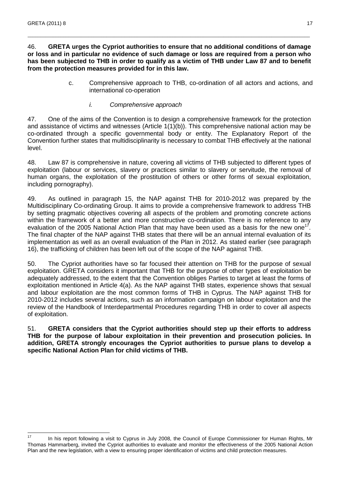#### 46. **GRETA urges the Cypriot authorities to ensure that no additional conditions of damage or loss and in particular no evidence of such damage or loss are required from a person who has been subjected to THB in order to qualify as a victim of THB under Law 87 and to benefit from the protection measures provided for in this law.**

\_\_\_\_\_\_\_\_\_\_\_\_\_\_\_\_\_\_\_\_\_\_\_\_\_\_\_\_\_\_\_\_\_\_\_\_\_\_\_\_\_\_\_\_\_\_\_\_\_\_\_\_\_\_\_\_\_\_\_\_\_\_\_\_\_\_\_\_\_\_\_\_\_\_\_\_\_\_\_\_\_\_\_\_\_\_\_\_\_\_\_\_\_\_\_\_\_\_\_\_\_\_\_\_\_\_\_\_\_\_\_

- c. Comprehensive approach to THB, co-ordination of all actors and actions, and international co-operation
	- i. Comprehensive approach

47. One of the aims of the Convention is to design a comprehensive framework for the protection and assistance of victims and witnesses (Article 1(1)(b)). This comprehensive national action may be co-ordinated through a specific governmental body or entity. The Explanatory Report of the Convention further states that multidisciplinarity is necessary to combat THB effectively at the national level.

48. Law 87 is comprehensive in nature, covering all victims of THB subjected to different types of exploitation (labour or services, slavery or practices similar to slavery or servitude, the removal of human organs, the exploitation of the prostitution of others or other forms of sexual exploitation, including pornography).

49. As outlined in paragraph 15, the NAP against THB for 2010-2012 was prepared by the Multidisciplinary Co-ordinating Group. It aims to provide a comprehensive framework to address THB by setting pragmatic objectives covering all aspects of the problem and promoting concrete actions within the framework of a better and more constructive co-ordination. There is no reference to any evaluation of the 2005 National Action Plan that may have been used as a basis for the new one<sup>17</sup>. The final chapter of the NAP against THB states that there will be an annual internal evaluation of its implementation as well as an overall evaluation of the Plan in 2012. As stated earlier (see paragraph 16), the trafficking of children has been left out of the scope of the NAP against THB.

50. The Cypriot authorities have so far focused their attention on THB for the purpose of sexual exploitation. GRETA considers it important that THB for the purpose of other types of exploitation be adequately addressed, to the extent that the Convention obliges Parties to target at least the forms of exploitation mentioned in Article 4(a). As the NAP against THB states, experience shows that sexual and labour exploitation are the most common forms of THB in Cyprus. The NAP against THB for 2010-2012 includes several actions, such as an information campaign on labour exploitation and the review of the Handbook of Interdepartmental Procedures regarding THB in order to cover all aspects of exploitation.

51. **GRETA considers that the Cypriot authorities should step up their efforts to address THB for the purpose of labour exploitation in their prevention and prosecution policies. In addition, GRETA strongly encourages the Cypriot authorities to pursue plans to develop a specific National Action Plan for child victims of THB.** 

 $17$ In his report following a visit to Cyprus in July 2008, the Council of Europe Commissioner for Human Rights, Mr Thomas Hammarberg, invited the Cypriot authorities to evaluate and monitor the effectiveness of the 2005 National Action Plan and the new legislation, with a view to ensuring proper identification of victims and child protection measures.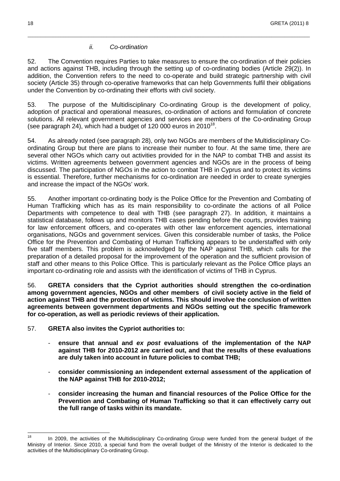#### ii. Co-ordination

52. The Convention requires Parties to take measures to ensure the co-ordination of their policies and actions against THB, including through the setting up of co-ordinating bodies (Article 29(2)). In addition, the Convention refers to the need to co-operate and build strategic partnership with civil society (Article 35) through co-operative frameworks that can help Governments fulfil their obligations under the Convention by co-ordinating their efforts with civil society.

\_\_\_\_\_\_\_\_\_\_\_\_\_\_\_\_\_\_\_\_\_\_\_\_\_\_\_\_\_\_\_\_\_\_\_\_\_\_\_\_\_\_\_\_\_\_\_\_\_\_\_\_\_\_\_\_\_\_\_\_\_\_\_\_\_\_\_\_\_\_\_\_\_\_\_\_\_\_\_\_\_\_\_\_\_\_\_\_\_\_\_\_\_\_\_\_\_\_\_\_\_\_\_\_\_\_\_\_\_\_\_

53. The purpose of the Multidisciplinary Co-ordinating Group is the development of policy, adoption of practical and operational measures, co-ordination of actions and formulation of concrete solutions. All relevant government agencies and services are members of the Co-ordinating Group (see paragraph 24), which had a budget of 120 000 euros in 2010 $18$ .

54. As already noted (see paragraph 28), only two NGOs are members of the Multidisciplinary Coordinating Group but there are plans to increase their number to four. At the same time, there are several other NGOs which carry out activities provided for in the NAP to combat THB and assist its victims. Written agreements between government agencies and NGOs are in the process of being discussed. The participation of NGOs in the action to combat THB in Cyprus and to protect its victims is essential. Therefore, further mechanisms for co-ordination are needed in order to create synergies and increase the impact of the NGOs' work.

55. Another important co-ordinating body is the Police Office for the Prevention and Combating of Human Trafficking which has as its main responsibility to co-ordinate the actions of all Police Departments with competence to deal with THB (see paragraph 27). In addition, it maintains a statistical database, follows up and monitors THB cases pending before the courts, provides training for law enforcement officers, and co-operates with other law enforcement agencies, international organisations, NGOs and government services. Given this considerable number of tasks, the Police Office for the Prevention and Combating of Human Trafficking appears to be understaffed with only five staff members. This problem is acknowledged by the NAP against THB, which calls for the preparation of a detailed proposal for the improvement of the operation and the sufficient provision of staff and other means to this Police Office. This is particularly relevant as the Police Office plays an important co-ordinating role and assists with the identification of victims of THB in Cyprus.

56. **GRETA considers that the Cypriot authorities should strengthen the co-ordination among government agencies, NGOs and other members of civil society active in the field of action against THB and the protection of victims. This should involve the conclusion of written agreements between government departments and NGOs setting out the specific framework for co-operation, as well as periodic reviews of their application.** 

57. **GRETA also invites the Cypriot authorities to:** 

- **ensure that annual and ex post evaluations of the implementation of the NAP against THB for 2010-2012 are carried out, and that the results of these evaluations are duly taken into account in future policies to combat THB;**
- **consider commissioning an independent external assessment of the application of the NAP against THB for 2010-2012;**
- **consider increasing the human and financial resources of the Police Office for the Prevention and Combating of Human Trafficking so that it can effectively carry out the full range of tasks within its mandate.**

 $18$ In 2009, the activities of the Multidisciplinary Co-ordinating Group were funded from the general budget of the Ministry of Interior. Since 2010, a special fund from the overall budget of the Ministry of the Interior is dedicated to the activities of the Multidisciplinary Co-ordinating Group.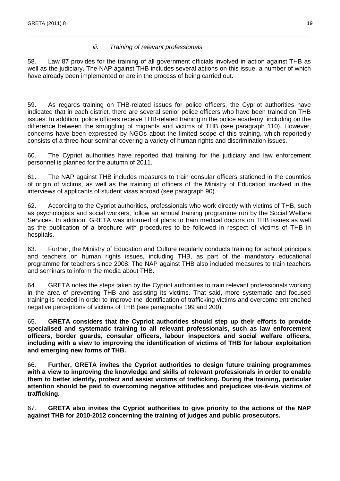#### iii. Training of relevant professionals

58. Law 87 provides for the training of all government officials involved in action against THB as well as the judiciary. The NAP against THB includes several actions on this issue, a number of which have already been implemented or are in the process of being carried out.

\_\_\_\_\_\_\_\_\_\_\_\_\_\_\_\_\_\_\_\_\_\_\_\_\_\_\_\_\_\_\_\_\_\_\_\_\_\_\_\_\_\_\_\_\_\_\_\_\_\_\_\_\_\_\_\_\_\_\_\_\_\_\_\_\_\_\_\_\_\_\_\_\_\_\_\_\_\_\_\_\_\_\_\_\_\_\_\_\_\_\_\_\_\_\_\_\_\_\_\_\_\_\_\_\_\_\_\_\_\_\_

59. As regards training on THB-related issues for police officers, the Cypriot authorities have indicated that in each district, there are several senior police officers who have been trained on THB issues. In addition, police officers receive THB-related training in the police academy, including on the difference between the smuggling of migrants and victims of THB (see paragraph 110). However, concerns have been expressed by NGOs about the limited scope of this training, which reportedly consists of a three-hour seminar covering a variety of human rights and discrimination issues.

60. The Cypriot authorities have reported that training for the judiciary and law enforcement personnel is planned for the autumn of 2011.

61. The NAP against THB includes measures to train consular officers stationed in the countries of origin of victims, as well as the training of officers of the Ministry of Education involved in the interviews of applicants of student visas abroad (see paragraph 90).

62. According to the Cypriot authorities, professionals who work directly with victims of THB, such as psychologists and social workers, follow an annual training programme run by the Social Welfare Services. In addition, GRETA was informed of plans to train medical doctors on THB issues as well as the publication of a brochure with procedures to be followed in respect of victims of THB in hospitals.

63. Further, the Ministry of Education and Culture regularly conducts training for school principals and teachers on human rights issues, including THB, as part of the mandatory educational programme for teachers since 2008. The NAP against THB also included measures to train teachers and seminars to inform the media about THB.

64. GRETA notes the steps taken by the Cypriot authorities to train relevant professionals working in the area of preventing THB and assisting its victims. That said, more systematic and focused training is needed in order to improve the identification of trafficking victims and overcome entrenched negative perceptions of victims of THB (see paragraphs 199 and 200).

65. **GRETA considers that the Cypriot authorities should step up their efforts to provide specialised and systematic training to all relevant professionals, such as law enforcement officers, border guards, consular officers, labour inspectors and social welfare officers, including with a view to improving the identification of victims of THB for labour exploitation and emerging new forms of THB.** 

66. **Further, GRETA invites the Cypriot authorities to design future training programmes with a view to improving the knowledge and skills of relevant professionals in order to enable them to better identify, protect and assist victims of trafficking. During the training, particular attention should be paid to overcoming negative attitudes and prejudices vis-à-vis victims of trafficking.** 

67. **GRETA also invites the Cypriot authorities to give priority to the actions of the NAP against THB for 2010-2012 concerning the training of judges and public prosecutors.**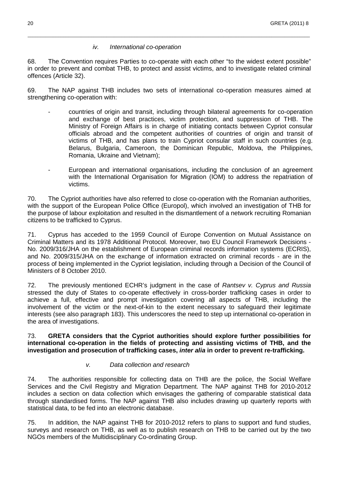#### iv. International co-operation

68. The Convention requires Parties to co-operate with each other "to the widest extent possible" in order to prevent and combat THB, to protect and assist victims, and to investigate related criminal offences (Article 32).

\_\_\_\_\_\_\_\_\_\_\_\_\_\_\_\_\_\_\_\_\_\_\_\_\_\_\_\_\_\_\_\_\_\_\_\_\_\_\_\_\_\_\_\_\_\_\_\_\_\_\_\_\_\_\_\_\_\_\_\_\_\_\_\_\_\_\_\_\_\_\_\_\_\_\_\_\_\_\_\_\_\_\_\_\_\_\_\_\_\_\_\_\_\_\_\_\_\_\_\_\_\_\_\_\_\_\_\_\_\_\_

69. The NAP against THB includes two sets of international co-operation measures aimed at strengthening co-operation with:

- -countries of origin and transit, including through bilateral agreements for co-operation and exchange of best practices, victim protection, and suppression of THB. The Ministry of Foreign Affairs is in charge of initiating contacts between Cypriot consular officials abroad and the competent authorities of countries of origin and transit of victims of THB, and has plans to train Cypriot consular staff in such countries (e.g. Belarus, Bulgaria, Cameroon, the Dominican Republic, Moldova, the Philippines, Romania, Ukraine and Vietnam);
- -European and international organisations, including the conclusion of an agreement with the International Organisation for Migration (IOM) to address the repatriation of victims.

70. The Cypriot authorities have also referred to close co-operation with the Romanian authorities, with the support of the European Police Office (Europol), which involved an investigation of THB for the purpose of labour exploitation and resulted in the dismantlement of a network recruiting Romanian citizens to be trafficked to Cyprus.

71. Cyprus has acceded to the 1959 Council of Europe Convention on Mutual Assistance on Criminal Matters and its 1978 Additional Protocol. Moreover, two EU Council Framework Decisions - No. 2009/316/JHA on the establishment of European criminal records information systems (ECRIS), and No. 2009/315/JHA on the exchange of information extracted on criminal records - are in the process of being implemented in the Cypriot legislation, including through a Decision of the Council of Ministers of 8 October 2010.

72. The previously mentioned ECHR's judgment in the case of Rantsev v. Cyprus and Russia stressed the duty of States to co-operate effectively in cross-border trafficking cases in order to achieve a full, effective and prompt investigation covering all aspects of THB, including the involvement of the victim or the next-of-kin to the extent necessary to safeguard their legitimate interests (see also paragraph 183). This underscores the need to step up international co-operation in the area of investigations.

#### 73. **GRETA considers that the Cypriot authorities should explore further possibilities for international co-operation in the fields of protecting and assisting victims of THB, and the investigation and prosecution of trafficking cases, inter alia in order to prevent re-trafficking.**

#### v. Data collection and research

74. The authorities responsible for collecting data on THB are the police, the Social Welfare Services and the Civil Registry and Migration Department. The NAP against THB for 2010-2012 includes a section on data collection which envisages the gathering of comparable statistical data through standardised forms. The NAP against THB also includes drawing up quarterly reports with statistical data, to be fed into an electronic database.

75. In addition, the NAP against THB for 2010-2012 refers to plans to support and fund studies, surveys and research on THB, as well as to publish research on THB to be carried out by the two NGOs members of the Multidisciplinary Co-ordinating Group.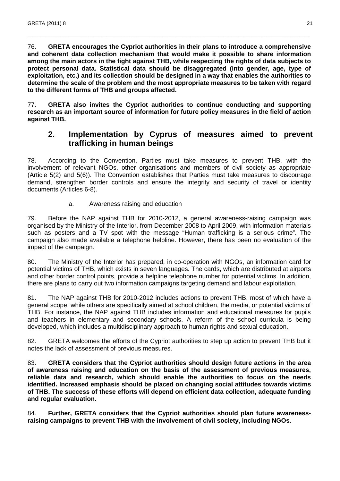76. **GRETA encourages the Cypriot authorities in their plans to introduce a comprehensive and coherent data collection mechanism that would make it possible to share information among the main actors in the fight against THB, while respecting the rights of data subjects to protect personal data. Statistical data should be disaggregated (into gender, age, type of exploitation, etc.) and its collection should be designed in a way that enables the authorities to determine the scale of the problem and the most appropriate measures to be taken with regard to the different forms of THB and groups affected.**

\_\_\_\_\_\_\_\_\_\_\_\_\_\_\_\_\_\_\_\_\_\_\_\_\_\_\_\_\_\_\_\_\_\_\_\_\_\_\_\_\_\_\_\_\_\_\_\_\_\_\_\_\_\_\_\_\_\_\_\_\_\_\_\_\_\_\_\_\_\_\_\_\_\_\_\_\_\_\_\_\_\_\_\_\_\_\_\_\_\_\_\_\_\_\_\_\_\_\_\_\_\_\_\_\_\_\_\_\_\_\_

77. **GRETA also invites the Cypriot authorities to continue conducting and supporting research as an important source of information for future policy measures in the field of action against THB.** 

## **2. Implementation by Cyprus of measures aimed to prevent trafficking in human beings**

78. According to the Convention, Parties must take measures to prevent THB, with the involvement of relevant NGOs, other organisations and members of civil society as appropriate (Article 5(2) and 5(6)). The Convention establishes that Parties must take measures to discourage demand, strengthen border controls and ensure the integrity and security of travel or identity documents (Articles 6-8).

#### a. Awareness raising and education

79. Before the NAP against THB for 2010-2012, a general awareness-raising campaign was organised by the Ministry of the Interior, from December 2008 to April 2009, with information materials such as posters and a TV spot with the message "Human trafficking is a serious crime". The campaign also made available a telephone helpline. However, there has been no evaluation of the impact of the campaign.

80. The Ministry of the Interior has prepared, in co-operation with NGOs, an information card for potential victims of THB, which exists in seven languages. The cards, which are distributed at airports and other border control points, provide a helpline telephone number for potential victims. In addition, there are plans to carry out two information campaigns targeting demand and labour exploitation.

81. The NAP against THB for 2010-2012 includes actions to prevent THB, most of which have a general scope, while others are specifically aimed at school children, the media, or potential victims of THB. For instance, the NAP against THB includes information and educational measures for pupils and teachers in elementary and secondary schools. A reform of the school curricula is being developed, which includes a multidisciplinary approach to human rights and sexual education.

82. GRETA welcomes the efforts of the Cypriot authorities to step up action to prevent THB but it notes the lack of assessment of previous measures.

83. **GRETA considers that the Cypriot authorities should design future actions in the area of awareness raising and education on the basis of the assessment of previous measures, reliable data and research, which should enable the authorities to focus on the needs identified. Increased emphasis should be placed on changing social attitudes towards victims of THB. The success of these efforts will depend on efficient data collection, adequate funding and regular evaluation.** 

84. **Further, GRETA considers that the Cypriot authorities should plan future awarenessraising campaigns to prevent THB with the involvement of civil society, including NGOs.**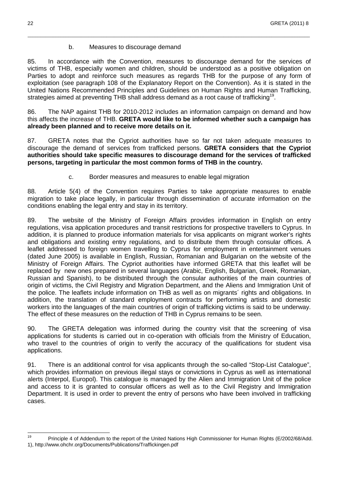#### b. Measures to discourage demand

85. In accordance with the Convention, measures to discourage demand for the services of victims of THB, especially women and children, should be understood as a positive obligation on Parties to adopt and reinforce such measures as regards THB for the purpose of any form of exploitation (see paragraph 108 of the Explanatory Report on the Convention). As it is stated in the United Nations Recommended Principles and Guidelines on Human Rights and Human Trafficking, strategies aimed at preventing THB shall address demand as a root cause of trafficking<sup>19</sup>.

\_\_\_\_\_\_\_\_\_\_\_\_\_\_\_\_\_\_\_\_\_\_\_\_\_\_\_\_\_\_\_\_\_\_\_\_\_\_\_\_\_\_\_\_\_\_\_\_\_\_\_\_\_\_\_\_\_\_\_\_\_\_\_\_\_\_\_\_\_\_\_\_\_\_\_\_\_\_\_\_\_\_\_\_\_\_\_\_\_\_\_\_\_\_\_\_\_\_\_\_\_\_\_\_\_\_\_\_\_\_\_

86. The NAP against THB for 2010-2012 includes an information campaign on demand and how this affects the increase of THB. **GRETA would like to be informed whether such a campaign has already been planned and to receive more details on it.** 

87. GRETA notes that the Cypriot authorities have so far not taken adequate measures to discourage the demand of services from trafficked persons. **GRETA considers that the Cypriot authorities should take specific measures to discourage demand for the services of trafficked persons, targeting in particular the most common forms of THB in the country.** 

c. Border measures and measures to enable legal migration

88. Article 5(4) of the Convention requires Parties to take appropriate measures to enable migration to take place legally, in particular through dissemination of accurate information on the conditions enabling the legal entry and stay in its territory.

89. The website of the Ministry of Foreign Affairs provides information in English on entry regulations, visa application procedures and transit restrictions for prospective travellers to Cyprus. In addition, it is planned to produce information materials for visa applicants on migrant worker's rights and obligations and existing entry regulations, and to distribute them through consular offices. A leaflet addressed to foreign women travelling to Cyprus for employment in entertainment venues (dated June 2005) is available in English, Russian, Romanian and Bulgarian on the website of the Ministry of Foreign Affairs. The Cypriot authorities have informed GRETA that this leaflet will be replaced by new ones prepared in several languages (Arabic, English, Bulgarian, Greek, Romanian, Russian and Spanish), to be distributed through the consular authorities of the main countries of origin of victims, the Civil Registry and Migration Department, and the Aliens and Immigration Unit of the police. The leaflets include information on THB as well as on migrants´ rights and obligations. In addition, the translation of standard employment contracts for performing artists and domestic workers into the languages of the main countries of origin of trafficking victims is said to be underway. The effect of these measures on the reduction of THB in Cyprus remains to be seen.

90. The GRETA delegation was informed during the country visit that the screening of visa applications for students is carried out in co-operation with officials from the Ministry of Education, who travel to the countries of origin to verify the accuracy of the qualifications for student visa applications.

91. There is an additional control for visa applicants through the so-called "Stop-List Catalogue", which provides information on previous illegal stays or convictions in Cyprus as well as international alerts (Interpol, Europol). This catalogue is managed by the Alien and Immigration Unit of the police and access to it is granted to consular officers as well as to the Civil Registry and Immigration Department. It is used in order to prevent the entry of persons who have been involved in trafficking cases.

<sup>19</sup> <sup>19</sup> Principle 4 of Addendum to the report of the United Nations High Commissioner for Human Rights (E/2002/68/Add. 1), http://www.ohchr.org/Documents/Publications/Traffickingen.pdf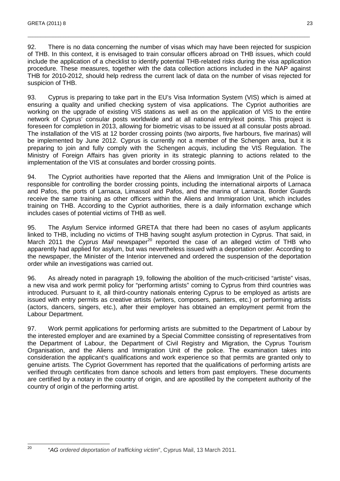92. There is no data concerning the number of visas which may have been rejected for suspicion of THB. In this context, it is envisaged to train consular officers abroad on THB issues, which could include the application of a checklist to identify potential THB-related risks during the visa application procedure. These measures, together with the data collection actions included in the NAP against THB for 2010-2012, should help redress the current lack of data on the number of visas rejected for suspicion of THB.

\_\_\_\_\_\_\_\_\_\_\_\_\_\_\_\_\_\_\_\_\_\_\_\_\_\_\_\_\_\_\_\_\_\_\_\_\_\_\_\_\_\_\_\_\_\_\_\_\_\_\_\_\_\_\_\_\_\_\_\_\_\_\_\_\_\_\_\_\_\_\_\_\_\_\_\_\_\_\_\_\_\_\_\_\_\_\_\_\_\_\_\_\_\_\_\_\_\_\_\_\_\_\_\_\_\_\_\_\_\_\_

93. Cyprus is preparing to take part in the EU's Visa Information System (VIS) which is aimed at ensuring a quality and unified checking system of visa applications. The Cypriot authorities are working on the upgrade of existing VIS stations as well as on the application of VIS to the entire network of Cyprus' consular posts worldwide and at all national entry/exit points. This project is foreseen for completion in 2013, allowing for biometric visas to be issued at all consular posts abroad. The installation of the VIS at 12 border crossing points (two airports, five harbours, five marinas) will be implemented by June 2012. Cyprus is currently not a member of the Schengen area, but it is preparing to join and fully comply with the Schengen acquis, including the VIS Regulation. The Ministry of Foreign Affairs has given priority in its strategic planning to actions related to the implementation of the VIS at consulates and border crossing points.

94. The Cypriot authorities have reported that the Aliens and Immigration Unit of the Police is responsible for controlling the border crossing points, including the international airports of Larnaca and Pafos, the ports of Larnaca, Limassol and Pafos, and the marina of Larnaca. Border Guards receive the same training as other officers within the Aliens and Immigration Unit, which includes training on THB. According to the Cypriot authorities, there is a daily information exchange which includes cases of potential victims of THB as well.

95. The Asylum Service informed GRETA that there had been no cases of asylum applicants linked to THB, including no victims of THB having sought asylum protection in Cyprus. That said, in March 2011 the Cyprus Mail newspaper<sup>20</sup> reported the case of an alleged victim of THB who apparently had applied for asylum, but was nevertheless issued with a deportation order. According to the newspaper, the Minister of the Interior intervened and ordered the suspension of the deportation order while an investigations was carried out.

96. As already noted in paragraph 19, following the abolition of the much-criticised "artiste" visas, a new visa and work permit policy for "performing artists" coming to Cyprus from third countries was introduced. Pursuant to it, all third-country nationals entering Cyprus to be employed as artists are issued with entry permits as creative artists (writers, composers, painters, etc.) or performing artists (actors, dancers, singers, etc.), after their employer has obtained an employment permit from the Labour Department.

97. Work permit applications for performing artists are submitted to the Department of Labour by the interested employer and are examined by a Special Committee consisting of representatives from the Department of Labour, the Department of Civil Registry and Migration, the Cyprus Tourism Organisation, and the Aliens and Immigration Unit of the police. The examination takes into consideration the applicant's qualifications and work experience so that permits are granted only to genuine artists. The Cypriot Government has reported that the qualifications of performing artists are verified through certificates from dance schools and letters from past employers. These documents are certified by a notary in the country of origin, and are apostilled by the competent authority of the country of origin of the performing artist.

 $20$ 

<sup>20</sup> "AG ordered deportation of trafficking victim", Cyprus Mail, 13 March 2011.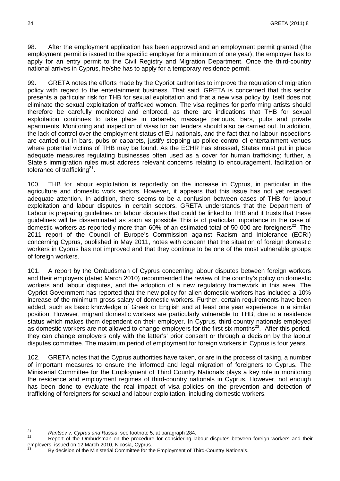98. After the employment application has been approved and an employment permit granted (the employment permit is issued to the specific employer for a minimum of one year), the employer has to apply for an entry permit to the Civil Registry and Migration Department. Once the third-country national arrives in Cyprus, he/she has to apply for a temporary residence permit.

\_\_\_\_\_\_\_\_\_\_\_\_\_\_\_\_\_\_\_\_\_\_\_\_\_\_\_\_\_\_\_\_\_\_\_\_\_\_\_\_\_\_\_\_\_\_\_\_\_\_\_\_\_\_\_\_\_\_\_\_\_\_\_\_\_\_\_\_\_\_\_\_\_\_\_\_\_\_\_\_\_\_\_\_\_\_\_\_\_\_\_\_\_\_\_\_\_\_\_\_\_\_\_\_\_\_\_\_\_\_\_

99. GRETA notes the efforts made by the Cypriot authorities to improve the regulation of migration policy with regard to the entertainment business. That said, GRETA is concerned that this sector presents a particular risk for THB for sexual exploitation and that a new visa policy by itself does not eliminate the sexual exploitation of trafficked women. The visa regimes for performing artists should therefore be carefully monitored and enforced, as there are indications that THB for sexual exploitation continues to take place in cabarets, massage parlours, bars, pubs and private apartments. Monitoring and inspection of visas for bar tenders should also be carried out. In addition, the lack of control over the employment status of EU nationals, and the fact that no labour inspections are carried out in bars, pubs or cabarets, justify stepping up police control of entertainment venues where potential victims of THB may be found. As the ECHR has stressed, States must put in place adequate measures regulating businesses often used as a cover for human trafficking; further, a State's immigration rules must address relevant concerns relating to encouragement, facilitation or tolerance of trafficking $21$ .

100. THB for labour exploitation is reportedly on the increase in Cyprus, in particular in the agriculture and domestic work sectors. However, it appears that this issue has not yet received adequate attention. In addition, there seems to be a confusion between cases of THB for labour exploitation and labour disputes in certain sectors. GRETA understands that the Department of Labour is preparing guidelines on labour disputes that could be linked to THB and it trusts that these guidelines will be disseminated as soon as possible This is of particular importance in the case of domestic workers as reportedly more than  $60\%$  of an estimated total of 50 000 are foreigners<sup>22</sup>. The 2011 report of the Council of Europe's Commission against Racism and Intolerance (ECRI) concerning Cyprus, published in May 2011, notes with concern that the situation of foreign domestic workers in Cyprus has not improved and that they continue to be one of the most vulnerable groups of foreign workers.

101. A report by the Ombudsman of Cyprus concerning labour disputes between foreign workers and their employers (dated March 2010) recommended the review of the country's policy on domestic workers and labour disputes, and the adoption of a new regulatory framework in this area. The Cypriot Government has reported that the new policy for alien domestic workers has included a 10% increase of the minimum gross salary of domestic workers. Further, certain requirements have been added, such as basic knowledge of Greek or English and at least one year experience in a similar position. However, migrant domestic workers are particularly vulnerable to THB, due to a residence status which makes them dependent on their employer. In Cyprus, third-country nationals employed as domestic workers are not allowed to change employers for the first six months<sup>23</sup>. After this period, they can change employers only with the latter's' prior consent or through a decision by the labour disputes committee. The maximum period of employment for foreign workers in Cyprus is four years.

102. GRETA notes that the Cyprus authorities have taken, or are in the process of taking, a number of important measures to ensure the informed and legal migration of foreigners to Cyprus. The Ministerial Committee for the Employment of Third Country Nationals plays a key role in monitoring the residence and employment regimes of third-country nationals in Cyprus. However, not enough has been done to evaluate the real impact of visa policies on the prevention and detection of trafficking of foreigners for sexual and labour exploitation, including domestic workers.

<sup>21</sup> <sup>21</sup> Rantsev v. Cyprus and Russia, see footnote 5, at paragraph 284.

Report of the Ombudsman on the procedure for considering labour disputes between foreign workers and their employers, issued on 12 March 2010, Nicosia, Cyprus.

By decision of the Ministerial Committee for the Employment of Third-Country Nationals.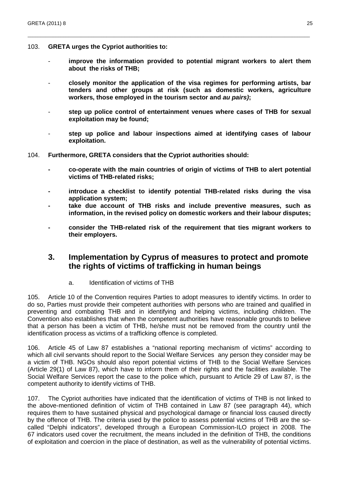- 103. **GRETA urges the Cypriot authorities to:** 
	- improve the information provided to potential migrant workers to alert them **about the risks of THB;**

\_\_\_\_\_\_\_\_\_\_\_\_\_\_\_\_\_\_\_\_\_\_\_\_\_\_\_\_\_\_\_\_\_\_\_\_\_\_\_\_\_\_\_\_\_\_\_\_\_\_\_\_\_\_\_\_\_\_\_\_\_\_\_\_\_\_\_\_\_\_\_\_\_\_\_\_\_\_\_\_\_\_\_\_\_\_\_\_\_\_\_\_\_\_\_\_\_\_\_\_\_\_\_\_\_\_\_\_\_\_\_

- **closely monitor the application of the visa regimes for performing artists, bar tenders and other groups at risk (such as domestic workers, agriculture workers, those employed in the tourism sector and au pairs);**
- **step up police control of entertainment venues where cases of THB for sexual exploitation may be found;**
- **step up police and labour inspections aimed at identifying cases of labour exploitation.**
- 104. **Furthermore, GRETA considers that the Cypriot authorities should:** 
	- **co-operate with the main countries of origin of victims of THB to alert potential victims of THB-related risks;**
	- **introduce a checklist to identify potential THB-related risks during the visa application system;**
	- **take due account of THB risks and include preventive measures, such as information, in the revised policy on domestic workers and their labour disputes;**
	- **consider the THB-related risk of the requirement that ties migrant workers to their employers.**

## **3. Implementation by Cyprus of measures to protect and promote the rights of victims of trafficking in human beings**

a. Identification of victims of THB

105. Article 10 of the Convention requires Parties to adopt measures to identify victims. In order to do so, Parties must provide their competent authorities with persons who are trained and qualified in preventing and combating THB and in identifying and helping victims, including children. The Convention also establishes that when the competent authorities have reasonable grounds to believe that a person has been a victim of THB, he/she must not be removed from the country until the identification process as victims of a trafficking offence is completed.

106. Article 45 of Law 87 establishes a "national reporting mechanism of victims" according to which all civil servants should report to the Social Welfare Services any person they consider may be a victim of THB. NGOs should also report potential victims of THB to the Social Welfare Services (Article 29(1) of Law 87), which have to inform them of their rights and the facilities available. The Social Welfare Services report the case to the police which, pursuant to Article 29 of Law 87, is the competent authority to identify victims of THB.

107. The Cypriot authorities have indicated that the identification of victims of THB is not linked to the above-mentioned definition of victim of THB contained in Law 87 (see paragraph 44), which requires them to have sustained physical and psychological damage or financial loss caused directly by the offence of THB. The criteria used by the police to assess potential victims of THB are the socalled "Delphi indicators", developed through a European Commission-ILO project in 2008. The 67 indicators used cover the recruitment, the means included in the definition of THB, the conditions of exploitation and coercion in the place of destination, as well as the vulnerability of potential victims.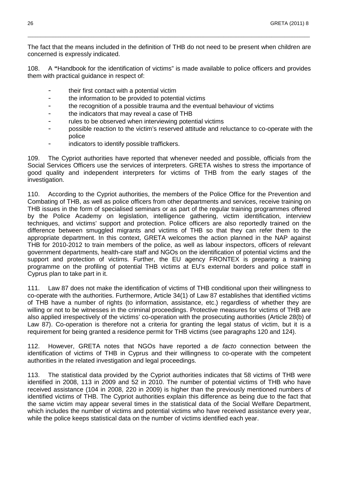The fact that the means included in the definition of THB do not need to be present when children are concerned is expressly indicated.

\_\_\_\_\_\_\_\_\_\_\_\_\_\_\_\_\_\_\_\_\_\_\_\_\_\_\_\_\_\_\_\_\_\_\_\_\_\_\_\_\_\_\_\_\_\_\_\_\_\_\_\_\_\_\_\_\_\_\_\_\_\_\_\_\_\_\_\_\_\_\_\_\_\_\_\_\_\_\_\_\_\_\_\_\_\_\_\_\_\_\_\_\_\_\_\_\_\_\_\_\_\_\_\_\_\_\_\_\_\_\_

108. A **"**Handbook for the identification of victims" is made available to police officers and provides them with practical guidance in respect of:

- their first contact with a potential victim
- the information to be provided to potential victims
- the recognition of a possible trauma and the eventual behaviour of victims
- the indicators that may reveal a case of THB
- rules to be observed when interviewing potential victims
- possible reaction to the victim's reserved attitude and reluctance to co-operate with the police
- indicators to identify possible traffickers.

109. The Cypriot authorities have reported that whenever needed and possible, officials from the Social Services Officers use the services of interpreters. GRETA wishes to stress the importance of good quality and independent interpreters for victims of THB from the early stages of the investigation.

110. According to the Cypriot authorities, the members of the Police Office for the Prevention and Combating of THB, as well as police officers from other departments and services, receive training on THB issues in the form of specialised seminars or as part of the regular training programmes offered by the Police Academy on legislation, intelligence gathering, victim identification, interview techniques, and victims' support and protection. Police officers are also reportedly trained on the difference between smuggled migrants and victims of THB so that they can refer them to the appropriate department. In this context, GRETA welcomes the action planned in the NAP against THB for 2010-2012 to train members of the police, as well as labour inspectors, officers of relevant government departments, health-care staff and NGOs on the identification of potential victims and the support and protection of victims. Further, the EU agency FRONTEX is preparing a training programme on the profiling of potential THB victims at EU's external borders and police staff in Cyprus plan to take part in it.

111. Law 87 does not make the identification of victims of THB conditional upon their willingness to co-operate with the authorities. Furthermore, Article 34(1) of Law 87 establishes that identified victims of THB have a number of rights (to information, assistance, etc.) regardless of whether they are willing or not to be witnesses in the criminal proceedings. Protective measures for victims of THB are also applied irrespectively of the victims' co-operation with the prosecuting authorities (Article 28(b) of Law 87). Co-operation is therefore not a criteria for granting the legal status of victim, but it is a requirement for being granted a residence permit for THB victims (see paragraphs 120 and 124).

112. However, GRETA notes that NGOs have reported a *de facto* connection between the identification of victims of THB in Cyprus and their willingness to co-operate with the competent authorities in the related investigation and legal proceedings.

113. The statistical data provided by the Cypriot authorities indicates that 58 victims of THB were identified in 2008, 113 in 2009 and 52 in 2010. The number of potential victims of THB who have received assistance (104 in 2008, 220 in 2009) is higher than the previously mentioned numbers of identified victims of THB. The Cypriot authorities explain this difference as being due to the fact that the same victim may appear several times in the statistical data of the Social Welfare Department, which includes the number of victims and potential victims who have received assistance every year, while the police keeps statistical data on the number of victims identified each year.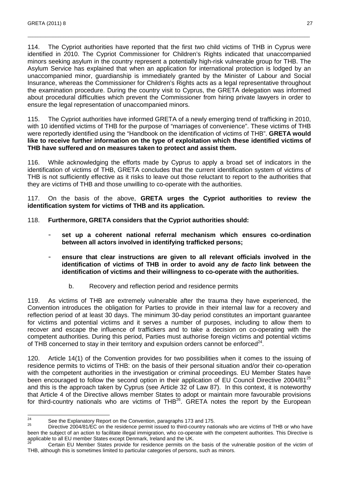114. The Cypriot authorities have reported that the first two child victims of THB in Cyprus were identified in 2010. The Cypriot Commissioner for Children's Rights indicated that unaccompanied minors seeking asylum in the country represent a potentially high-risk vulnerable group for THB. The Asylum Service has explained that when an application for international protection is lodged by an unaccompanied minor, guardianship is immediately granted by the Minister of Labour and Social Insurance, whereas the Commissioner for Children's Rights acts as a legal representative throughout the examination procedure. During the country visit to Cyprus, the GRETA delegation was informed about procedural difficulties which prevent the Commissioner from hiring private lawyers in order to ensure the legal representation of unaccompanied minors.

\_\_\_\_\_\_\_\_\_\_\_\_\_\_\_\_\_\_\_\_\_\_\_\_\_\_\_\_\_\_\_\_\_\_\_\_\_\_\_\_\_\_\_\_\_\_\_\_\_\_\_\_\_\_\_\_\_\_\_\_\_\_\_\_\_\_\_\_\_\_\_\_\_\_\_\_\_\_\_\_\_\_\_\_\_\_\_\_\_\_\_\_\_\_\_\_\_\_\_\_\_\_\_\_\_\_\_\_\_\_\_

115. The Cypriot authorities have informed GRETA of a newly emerging trend of trafficking in 2010, with 10 identified victims of THB for the purpose of "marriages of convenience". These victims of THB were reportedly identified using the "Handbook on the identification of victims of THB". **GRETA would like to receive further information on the type of exploitation which these identified victims of THB have suffered and on measures taken to protect and assist them.**

116. While acknowledging the efforts made by Cyprus to apply a broad set of indicators in the identification of victims of THB, GRETA concludes that the current identification system of victims of THB is not sufficiently effective as it risks to leave out those reluctant to report to the authorities that they are victims of THB and those unwilling to co-operate with the authorities.

117. On the basis of the above, **GRETA urges the Cypriot authorities to review the identification system for victims of THB and its application.** 

- 118. **Furthermore, GRETA considers that the Cypriot authorities should:** 
	- **set up a coherent national referral mechanism which ensures co-ordination between all actors involved in identifying trafficked persons;**
	- ensure that clear instructions are given to all relevant officials involved in the **identification of victims of THB in order to avoid any de facto link between the identification of victims and their willingness to co-operate with the authorities.** 
		- b. Recovery and reflection period and residence permits

119. As victims of THB are extremely vulnerable after the trauma they have experienced, the Convention introduces the obligation for Parties to provide in their internal law for a recovery and reflection period of at least 30 days. The minimum 30-day period constitutes an important guarantee for victims and potential victims and it serves a number of purposes, including to allow them to recover and escape the influence of traffickers and to take a decision on co-operating with the competent authorities. During this period, Parties must authorise foreign victims and potential victims of THB concerned to stay in their territory and expulsion orders cannot be enforced $^{24}$ .

120. Article 14(1) of the Convention provides for two possibilities when it comes to the issuing of residence permits to victims of THB: on the basis of their personal situation and/or their co-operation with the competent authorities in the investigation or criminal proceedings. EU Member States have been encouraged to follow the second option in their application of EU Council Directive 2004/81<sup>25</sup> and this is the approach taken by Cyprus (see Article 32 of Law 87). In this context, it is noteworthy that Article 4 of the Directive allows member States to adopt or maintain more favourable provisions for third-country nationals who are victims of THB $^{26}$ . GRETA notes the report by the European

 $24$ <sup>24</sup> See the Explanatory Report on the Convention, paragraphs 173 and 175.

<sup>25</sup> Directive 2004/81/EC on the residence permit issued to third-country nationals who are victims of THB or who have been the subject of an action to facilitate illegal immigration, who co-operate with the competent authorities. This Directive is applicable to all EU member States except Denmark, Ireland and the UK.

<sup>26</sup> Certain EU Member States provide for residence permits on the basis of the vulnerable position of the victim of THB, although this is sometimes limited to particular categories of persons, such as minors.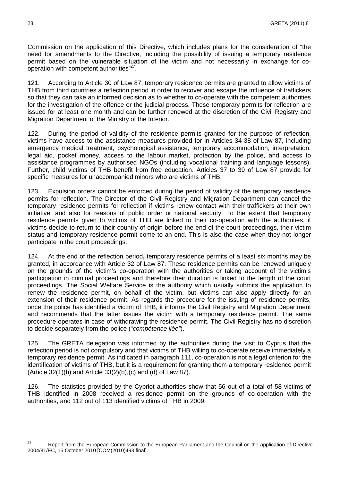Commission on the application of this Directive, which includes plans for the consideration of "the need for amendments to the Directive, including the possibility of issuing a temporary residence permit based on the vulnerable situation of the victim and not necessarily in exchange for cooperation with competent authorities"<sup>27</sup>.

\_\_\_\_\_\_\_\_\_\_\_\_\_\_\_\_\_\_\_\_\_\_\_\_\_\_\_\_\_\_\_\_\_\_\_\_\_\_\_\_\_\_\_\_\_\_\_\_\_\_\_\_\_\_\_\_\_\_\_\_\_\_\_\_\_\_\_\_\_\_\_\_\_\_\_\_\_\_\_\_\_\_\_\_\_\_\_\_\_\_\_\_\_\_\_\_\_\_\_\_\_\_\_\_\_\_\_\_\_\_\_

121. According to Article 30 of Law 87, temporary residence permits are granted to allow victims of THB from third countries a reflection period in order to recover and escape the influence of traffickers so that they can take an informed decision as to whether to co-operate with the competent authorities for the investigation of the offence or the judicial process. These temporary permits for reflection are issued for at least one month and can be further renewed at the discretion of the Civil Registry and Migration Department of the Ministry of the Interior.

122. During the period of validity of the residence permits granted for the purpose of reflection, victims have access to the assistance measures provided for in Articles 34-38 of Law 87, including emergency medical treatment, psychological assistance, temporary accommodation, interpretation, legal aid, pocket money, access to the labour market, protection by the police, and access to assistance programmes by authorised NGOs (including vocational training and language lessons). Further, child victims of THB benefit from free education. Articles 37 to 39 of Law 87 provide for specific measures for unaccompanied minors who are victims of THB.

123. Expulsion orders cannot be enforced during the period of validity of the temporary residence permits for reflection. The Director of the Civil Registry and Migration Department can cancel the temporary residence permits for reflection if victims renew contact with their traffickers at their own initiative, and also for reasons of public order or national security. To the extent that temporary residence permits given to victims of THB are linked to their co-operation with the authorities, if victims decide to return to their country of origin before the end of the court proceedings, their victim status and temporary residence permit come to an end. This is also the case when they not longer participate in the court proceedings.

124. At the end of the reflection period**,** temporary residence permits of a least six months may be granted, in accordance with Article 32 of Law 87. These residence permits can be renewed uniquely on the grounds of the victim's co-operation with the authorities or taking account of the victim's participation in criminal proceedings and therefore their duration is linked to the length of the court proceedings. The Social Welfare Service is the authority which usually submits the application to renew the residence permit, on behalf of the victim, but victims can also apply directly for an extension of their residence permit. As regards the procedure for the issuing of residence permits, once the police has identified a victim of THB, it informs the Civil Registry and Migration Department and recommends that the latter issues the victim with a temporary residence permit. The same procedure operates in case of withdrawing the residence permit. The Civil Registry has no discretion to decide separately from the police ("compétence liée").

125. The GRETA delegation was informed by the authorities during the visit to Cyprus that the reflection period is not compulsory and that victims of THB willing to co-operate receive immediately a temporary residence permit. As indicated in paragraph 111, co-operation is not a legal criterion for the identification of victims of THB, but it is a requirement for granting them a temporary residence permit (Article 32(1)(b) and Article 33(2)(b),(c) and (d) of Law 87).

126. The statistics provided by the Cypriot authorities show that 56 out of a total of 58 victims of THB identified in 2008 received a residence permit on the grounds of co-operation with the authorities, and 112 out of 113 identified victims of THB in 2009.

 $27$ Report from the European Commission to the European Parliament and the Council on the application of Directive 2004/81/EC, 15 October 2010 [COM(2010)493 final].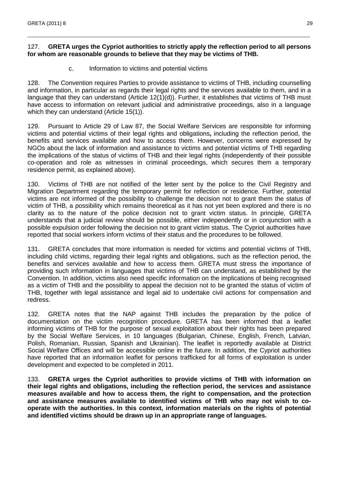### 127. **GRETA urges the Cypriot authorities to strictly apply the reflection period to all persons for whom are reasonable grounds to believe that they may be victims of THB.**

\_\_\_\_\_\_\_\_\_\_\_\_\_\_\_\_\_\_\_\_\_\_\_\_\_\_\_\_\_\_\_\_\_\_\_\_\_\_\_\_\_\_\_\_\_\_\_\_\_\_\_\_\_\_\_\_\_\_\_\_\_\_\_\_\_\_\_\_\_\_\_\_\_\_\_\_\_\_\_\_\_\_\_\_\_\_\_\_\_\_\_\_\_\_\_\_\_\_\_\_\_\_\_\_\_\_\_\_\_\_\_

c. Information to victims and potential victims

128. The Convention requires Parties to provide assistance to victims of THB, including counselling and information, in particular as regards their legal rights and the services available to them, and in a language that they can understand (Article 12(1)(d)). Further, it establishes that victims of THB must have access to information on relevant judicial and administrative proceedings, also in a language which they can understand (Article 15(1)).

129. Pursuant to Article 29 of Law 87, the Social Welfare Services are responsible for informing victims and potential victims of their legal rights and obligations**,** including the reflection period, the benefits and services available and how to access them. However, concerns were expressed by NGOs about the lack of information and assistance to victims and potential victims of THB regarding the implications of the status of victims of THB and their legal rights (independently of their possible co-operation and role as witnesses in criminal proceedings, which secures them a temporary residence permit, as explained above).

130. Victims of THB are not notified of the letter sent by the police to the Civil Registry and Migration Department regarding the temporary permit for reflection or residence. Further, potential victims are not informed of the possibility to challenge the decision not to grant them the status of victim of THB, a possibility which remains theoretical as it has not yet been explored and there is no clarity as to the nature of the police decision not to grant victim status. In principle, GRETA understands that a judicial review should be possible, either independently or in conjunction with a possible expulsion order following the decision not to grant victim status. The Cypriot authorities have reported that social workers inform victims of their status and the procedures to be followed.

131. GRETA concludes that more information is needed for victims and potential victims of THB, including child victims, regarding their legal rights and obligations, such as the reflection period, the benefits and services available and how to access them. GRETA must stress the importance of providing such information in languages that victims of THB can understand, as established by the Convention. In addition, victims also need specific information on the implications of being recognised as a victim of THB and the possibility to appeal the decision not to be granted the status of victim of THB, together with legal assistance and legal aid to undertake civil actions for compensation and redress.

132. GRETA notes that the NAP against THB includes the preparation by the police of documentation on the victim recognition procedure. GRETA has been informed that a leaflet informing victims of THB for the purpose of sexual exploitation about their rights has been prepared by the Social Welfare Services, in 10 languages (Bulgarian, Chinese, English, French, Latvian, Polish, Romanian, Russian, Spanish and Ukrainian). The leaflet is reportedly available at District Social Welfare Offices and will be accessible online in the future. In addition, the Cypriot authorities have reported that an information leaflet for persons trafficked for all forms of exploitation is under development and expected to be completed in 2011.

133. **GRETA urges the Cypriot authorities to provide victims of THB with information on their legal rights and obligations, including the reflection period, the services and assistance measures available and how to access them, the right to compensation, and the protection and assistance measures available to identified victims of THB who may not wish to cooperate with the authorities. In this context, information materials on the rights of potential and identified victims should be drawn up in an appropriate range of languages.**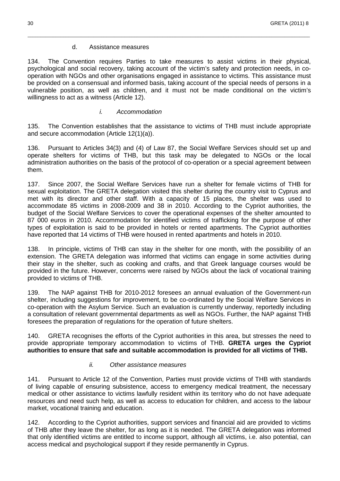#### d. Assistance measures

134. The Convention requires Parties to take measures to assist victims in their physical, psychological and social recovery, taking account of the victim's safety and protection needs, in cooperation with NGOs and other organisations engaged in assistance to victims. This assistance must be provided on a consensual and informed basis, taking account of the special needs of persons in a vulnerable position, as well as children, and it must not be made conditional on the victim's willingness to act as a witness (Article 12).

\_\_\_\_\_\_\_\_\_\_\_\_\_\_\_\_\_\_\_\_\_\_\_\_\_\_\_\_\_\_\_\_\_\_\_\_\_\_\_\_\_\_\_\_\_\_\_\_\_\_\_\_\_\_\_\_\_\_\_\_\_\_\_\_\_\_\_\_\_\_\_\_\_\_\_\_\_\_\_\_\_\_\_\_\_\_\_\_\_\_\_\_\_\_\_\_\_\_\_\_\_\_\_\_\_\_\_\_\_\_\_

#### i. Accommodation

135. The Convention establishes that the assistance to victims of THB must include appropriate and secure accommodation (Article 12(1)(a)).

136. Pursuant to Articles 34(3) and (4) of Law 87, the Social Welfare Services should set up and operate shelters for victims of THB, but this task may be delegated to NGOs or the local administration authorities on the basis of the protocol of co-operation or a special agreement between them.

137. Since 2007, the Social Welfare Services have run a shelter for female victims of THB for sexual exploitation. The GRETA delegation visited this shelter during the country visit to Cyprus and met with its director and other staff. With a capacity of 15 places, the shelter was used to accommodate 85 victims in 2008-2009 and 38 in 2010. According to the Cypriot authorities, the budget of the Social Welfare Services to cover the operational expenses of the shelter amounted to 87 000 euros in 2010. Accommodation for identified victims of trafficking for the purpose of other types of exploitation is said to be provided in hotels or rented apartments. The Cypriot authorities have reported that 14 victims of THB were housed in rented apartments and hotels in 2010.

138. In principle, victims of THB can stay in the shelter for one month, with the possibility of an extension. The GRETA delegation was informed that victims can engage in some activities during their stay in the shelter, such as cooking and crafts, and that Greek language courses would be provided in the future. However, concerns were raised by NGOs about the lack of vocational training provided to victims of THB.

139. The NAP against THB for 2010-2012 foresees an annual evaluation of the Government-run shelter, including suggestions for improvement, to be co-ordinated by the Social Welfare Services in co-operation with the Asylum Service. Such an evaluation is currently underway, reportedly including a consultation of relevant governmental departments as well as NGOs. Further, the NAP against THB foresees the preparation of regulations for the operation of future shelters.

140. GRETA recognises the efforts of the Cypriot authorities in this area, but stresses the need to provide appropriate temporary accommodation to victims of THB. **GRETA urges the Cypriot authorities to ensure that safe and suitable accommodation is provided for all victims of THB.** 

#### ii. Other assistance measures

141. Pursuant to Article 12 of the Convention, Parties must provide victims of THB with standards of living capable of ensuring subsistence, access to emergency medical treatment, the necessary medical or other assistance to victims lawfully resident within its territory who do not have adequate resources and need such help, as well as access to education for children, and access to the labour market, vocational training and education.

142. According to the Cypriot authorities, support services and financial aid are provided to victims of THB after they leave the shelter, for as long as it is needed. The GRETA delegation was informed that only identified victims are entitled to income support, although all victims, i.e. also potential, can access medical and psychological support if they reside permanently in Cyprus.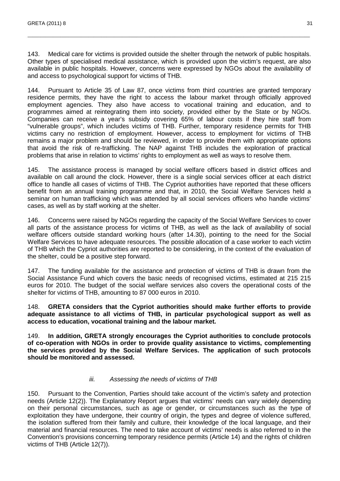143. Medical care for victims is provided outside the shelter through the network of public hospitals. Other types of specialised medical assistance, which is provided upon the victim's request, are also available in public hospitals. However, concerns were expressed by NGOs about the availability of and access to psychological support for victims of THB.

\_\_\_\_\_\_\_\_\_\_\_\_\_\_\_\_\_\_\_\_\_\_\_\_\_\_\_\_\_\_\_\_\_\_\_\_\_\_\_\_\_\_\_\_\_\_\_\_\_\_\_\_\_\_\_\_\_\_\_\_\_\_\_\_\_\_\_\_\_\_\_\_\_\_\_\_\_\_\_\_\_\_\_\_\_\_\_\_\_\_\_\_\_\_\_\_\_\_\_\_\_\_\_\_\_\_\_\_\_\_\_

144. Pursuant to Article 35 of Law 87, once victims from third countries are granted temporary residence permits, they have the right to access the labour market through officially approved employment agencies. They also have access to vocational training and education, and to programmes aimed at reintegrating them into society, provided either by the State or by NGOs. Companies can receive a year's subsidy covering 65% of labour costs if they hire staff from "vulnerable groups", which includes victims of THB. Further, temporary residence permits for THB victims carry no restriction of employment. However, access to employment for victims of THB remains a major problem and should be reviewed, in order to provide them with appropriate options that avoid the risk of re-trafficking. The NAP against THB includes the exploration of practical problems that arise in relation to victims' rights to employment as well as ways to resolve them.

145. The assistance process is managed by social welfare officers based in district offices and available on call around the clock. However, there is a single social services officer at each district office to handle all cases of victims of THB. The Cypriot authorities have reported that these officers benefit from an annual training programme and that, in 2010, the Social Welfare Services held a seminar on human trafficking which was attended by all social services officers who handle victims' cases, as well as by staff working at the shelter.

146. Concerns were raised by NGOs regarding the capacity of the Social Welfare Services to cover all parts of the assistance process for victims of THB, as well as the lack of availability of social welfare officers outside standard working hours (after 14.30), pointing to the need for the Social Welfare Services to have adequate resources. The possible allocation of a case worker to each victim of THB which the Cypriot authorities are reported to be considering, in the context of the evaluation of the shelter, could be a positive step forward.

147. The funding available for the assistance and protection of victims of THB is drawn from the Social Assistance Fund which covers the basic needs of recognised victims, estimated at 215 215 euros for 2010. The budget of the social welfare services also covers the operational costs of the shelter for victims of THB, amounting to 87 000 euros in 2010.

148. **GRETA considers that the Cypriot authorities should make further efforts to provide adequate assistance to all victims of THB, in particular psychological support as well as access to education, vocational training and the labour market.** 

149. **In addition, GRETA strongly encourages the Cypriot authorities to conclude protocols of co-operation with NGOs in order to provide quality assistance to victims, complementing the services provided by the Social Welfare Services. The application of such protocols should be monitored and assessed.** 

#### iii. Assessing the needs of victims of THB

150. Pursuant to the Convention, Parties should take account of the victim's safety and protection needs (Article 12(2)). The Explanatory Report argues that victims' needs can vary widely depending on their personal circumstances, such as age or gender, or circumstances such as the type of exploitation they have undergone, their country of origin, the types and degree of violence suffered, the isolation suffered from their family and culture, their knowledge of the local language, and their material and financial resources. The need to take account of victims' needs is also referred to in the Convention's provisions concerning temporary residence permits (Article 14) and the rights of children victims of THB (Article 12(7)).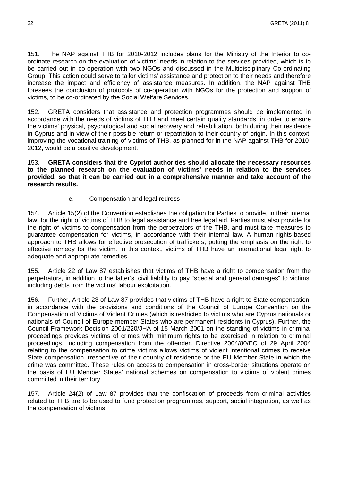151. The NAP against THB for 2010-2012 includes plans for the Ministry of the Interior to coordinate research on the evaluation of victims' needs in relation to the services provided, which is to be carried out in co-operation with two NGOs and discussed in the Multidisciplinary Co-ordinating Group. This action could serve to tailor victims' assistance and protection to their needs and therefore increase the impact and efficiency of assistance measures. In addition, the NAP against THB foresees the conclusion of protocols of co-operation with NGOs for the protection and support of victims, to be co-ordinated by the Social Welfare Services.

\_\_\_\_\_\_\_\_\_\_\_\_\_\_\_\_\_\_\_\_\_\_\_\_\_\_\_\_\_\_\_\_\_\_\_\_\_\_\_\_\_\_\_\_\_\_\_\_\_\_\_\_\_\_\_\_\_\_\_\_\_\_\_\_\_\_\_\_\_\_\_\_\_\_\_\_\_\_\_\_\_\_\_\_\_\_\_\_\_\_\_\_\_\_\_\_\_\_\_\_\_\_\_\_\_\_\_\_\_\_\_

152. GRETA considers that assistance and protection programmes should be implemented in accordance with the needs of victims of THB and meet certain quality standards, in order to ensure the victims' physical, psychological and social recovery and rehabilitation, both during their residence in Cyprus and in view of their possible return or repatriation to their country of origin. In this context, improving the vocational training of victims of THB, as planned for in the NAP against THB for 2010- 2012, would be a positive development.

153. **GRETA considers that the Cypriot authorities should allocate the necessary resources to the planned research on the evaluation of victims' needs in relation to the services provided, so that it can be carried out in a comprehensive manner and take account of the research results.** 

#### e. Compensation and legal redress

154. Article 15(2) of the Convention establishes the obligation for Parties to provide, in their internal law, for the right of victims of THB to legal assistance and free legal aid. Parties must also provide for the right of victims to compensation from the perpetrators of the THB, and must take measures to guarantee compensation for victims, in accordance with their internal law. A human rights-based approach to THB allows for effective prosecution of traffickers, putting the emphasis on the right to effective remedy for the victim. In this context, victims of THB have an international legal right to adequate and appropriate remedies.

155. Article 22 of Law 87 establishes that victims of THB have a right to compensation from the perpetrators, in addition to the latter's' civil liability to pay "special and general damages" to victims, including debts from the victims' labour exploitation.

156. Further, Article 23 of Law 87 provides that victims of THB have a right to State compensation, in accordance with the provisions and conditions of the Council of Europe Convention on the Compensation of Victims of Violent Crimes (which is restricted to victims who are Cyprus nationals or nationals of Council of Europe member States who are permanent residents in Cyprus). Further, the Council Framework Decision 2001/220/JHA of 15 March 2001 on the standing of victims in criminal proceedings provides victims of crimes with minimum rights to be exercised in relation to criminal proceedings, including compensation from the offender. Directive 2004/80/EC of 29 April 2004 relating to the compensation to crime victims allows victims of violent intentional crimes to receive State compensation irrespective of their country of residence or the EU Member State in which the crime was committed. These rules on access to compensation in cross-border situations operate on the basis of EU Member States' national schemes on compensation to victims of violent crimes committed in their territory.

157. Article 24(2) of Law 87 provides that the confiscation of proceeds from criminal activities related to THB are to be used to fund protection programmes, support, social integration, as well as the compensation of victims.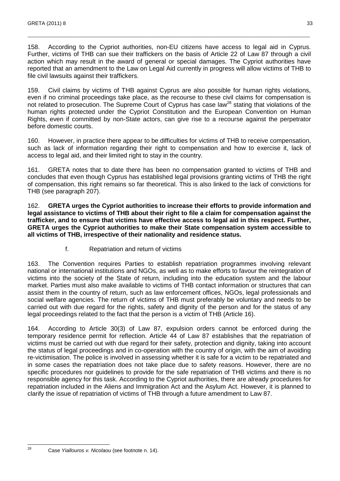158. According to the Cypriot authorities, non-EU citizens have access to legal aid in Cyprus. Further, victims of THB can sue their traffickers on the basis of Article 22 of Law 87 through a civil action which may result in the award of general or special damages. The Cypriot authorities have reported that an amendment to the Law on Legal Aid currently in progress will allow victims of THB to file civil lawsuits against their traffickers.

\_\_\_\_\_\_\_\_\_\_\_\_\_\_\_\_\_\_\_\_\_\_\_\_\_\_\_\_\_\_\_\_\_\_\_\_\_\_\_\_\_\_\_\_\_\_\_\_\_\_\_\_\_\_\_\_\_\_\_\_\_\_\_\_\_\_\_\_\_\_\_\_\_\_\_\_\_\_\_\_\_\_\_\_\_\_\_\_\_\_\_\_\_\_\_\_\_\_\_\_\_\_\_\_\_\_\_\_\_\_\_

159. Civil claims by victims of THB against Cyprus are also possible for human rights violations, even if no criminal proceedings take place, as the recourse to these civil claims for compensation is not related to prosecution. The Supreme Court of Cyprus has case law<sup>28</sup> stating that violations of the human rights protected under the Cypriot Constitution and the European Convention on Human Rights, even if committed by non-State actors, can give rise to a recourse against the perpetrator before domestic courts.

160. However, in practice there appear to be difficulties for victims of THB to receive compensation, such as lack of information regarding their right to compensation and how to exercise it, lack of access to legal aid, and their limited right to stay in the country.

161. GRETA notes that to date there has been no compensation granted to victims of THB and concludes that even though Cyprus has established legal provisions granting victims of THB the right of compensation, this right remains so far theoretical. This is also linked to the lack of convictions for THB (see paragraph 207).

162. **GRETA urges the Cypriot authorities to increase their efforts to provide information and legal assistance to victims of THB about their right to file a claim for compensation against the trafficker, and to ensure that victims have effective access to legal aid in this respect. Further, GRETA urges the Cypriot authorities to make their State compensation system accessible to all victims of THB, irrespective of their nationality and residence status.** 

f. Repatriation and return of victims

163. The Convention requires Parties to establish repatriation programmes involving relevant national or international institutions and NGOs, as well as to make efforts to favour the reintegration of victims into the society of the State of return, including into the education system and the labour market. Parties must also make available to victims of THB contact information or structures that can assist them in the country of return, such as law enforcement offices, NGOs, legal professionals and social welfare agencies. The return of victims of THB must preferably be voluntary and needs to be carried out with due regard for the rights, safety and dignity of the person and for the status of any legal proceedings related to the fact that the person is a victim of THB (Article 16).

164. According to Article 30(3) of Law 87, expulsion orders cannot be enforced during the temporary residence permit for reflection. Article 44 of Law 87 establishes that the repatriation of victims must be carried out with due regard for their safety, protection and dignity, taking into account the status of legal proceedings and in co-operation with the country of origin, with the aim of avoiding re-victimisation. The police is involved in assessing whether it is safe for a victim to be repatriated and in some cases the repatriation does not take place due to safety reasons. However, there are no specific procedures nor guidelines to provide for the safe repatriation of THB victims and there is no responsible agency for this task. According to the Cypriot authorities, there are already procedures for repatriation included in the Aliens and Immigration Act and the Asylum Act. However, it is planned to clarify the issue of repatriation of victims of THB through a future amendment to Law 87.

Case Yiallouros v. Nicolaou (see footnote n. 14).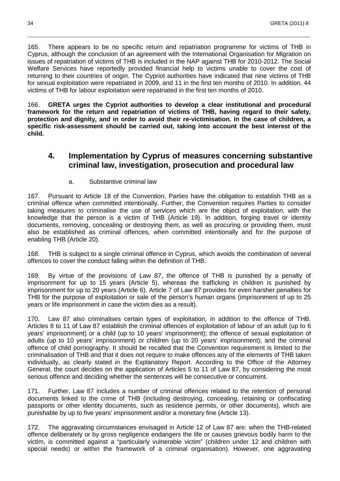165. There appears to be no specific return and repatriation programme for victims of THB in Cyprus, although the conclusion of an agreement with the International Organisation for Migration on issues of repatriation of victims of THB is included in the NAP against THB for 2010-2012. The Social Welfare Services have reportedly provided financial help to victims unable to cover the cost of returning to their countries of origin. The Cypriot authorities have indicated that nine victims of THB for sexual exploitation were repatriated in 2009, and 11 in the first ten months of 2010. In addition, 44 victims of THB for labour exploitation were repatriated in the first ten months of 2010.

\_\_\_\_\_\_\_\_\_\_\_\_\_\_\_\_\_\_\_\_\_\_\_\_\_\_\_\_\_\_\_\_\_\_\_\_\_\_\_\_\_\_\_\_\_\_\_\_\_\_\_\_\_\_\_\_\_\_\_\_\_\_\_\_\_\_\_\_\_\_\_\_\_\_\_\_\_\_\_\_\_\_\_\_\_\_\_\_\_\_\_\_\_\_\_\_\_\_\_\_\_\_\_\_\_\_\_\_\_\_\_

166. **GRETA urges the Cypriot authorities to develop a clear institutional and procedural framework for the return and repatriation of victims of THB, having regard to their safety, protection and dignity, and in order to avoid their re-victimisation. In the case of children, a specific risk-assessment should be carried out, taking into account the best interest of the child.** 

## **4. Implementation by Cyprus of measures concerning substantive criminal law, investigation, prosecution and procedural law**

#### a. Substantive criminal law

167. Pursuant to Article 18 of the Convention, Parties have the obligation to establish THB as a criminal offence when committed intentionally. Further, the Convention requires Parties to consider taking measures to criminalise the use of services which are the object of exploitation, with the knowledge that the person is a victim of THB (Article 19). In addition, forging travel or identity documents, removing, concealing or destroying them, as well as procuring or providing them, must also be established as criminal offences, when committed intentionally and for the purpose of enabling THB (Article 20).

168. THB is subject to a single criminal offence in Cyprus, which avoids the combination of several offences to cover the conduct falling within the definition of THB.

169. By virtue of the provisions of Law 87, the offence of THB is punished by a penalty of imprisonment for up to 15 years (Article 5), whereas the trafficking in children is punished by imprisonment for up to 20 years (Article 6). Article 7 of Law 87 provides for even harsher penalties for THB for the purpose of exploitation or sale of the person's human organs (imprisonment of up to 25 years or life imprisonment in case the victim dies as a result).

170. Law 87 also criminalises certain types of exploitation, in addition to the offence of THB. Articles 8 to 11 of Law 87 establish the criminal offences of exploitation of labour of an adult (up to 6 years' imprisonment) or a child (up to 10 years' imprisonment); the offence of sexual exploitation of adults (up to 10 years' imprisonment) or children (up to 20 years' imprisonment); and the criminal offence of child pornography. It should be recalled that the Convention requirement is limited to the criminalisation of THB and that it does not require to make offences any of the elements of THB taken individually, as clearly stated in the Explanatory Report. According to the Office of the Attorney General, the court decides on the application of Articles 5 to 11 of Law 87, by considering the most serious offence and deciding whether the sentences will be consecutive or concurrent.

171. Further, Law 87 includes a number of criminal offences related to the retention of personal documents linked to the crime of THB (including destroying, concealing, retaining or confiscating passports or other identity documents, such as residence permits, or other documents), which are punishable by up to five years' imprisonment and/or a monetary fine (Article 13).

172. The aggravating circumstances envisaged in Article 12 of Law 87 are: when the THB-related offence deliberately or by gross negligence endangers the life or causes grievous bodily harm to the victim, is committed against a "particularly vulnerable victim" (children under 12 and children with special needs) or within the framework of a criminal organisation). However, one aggravating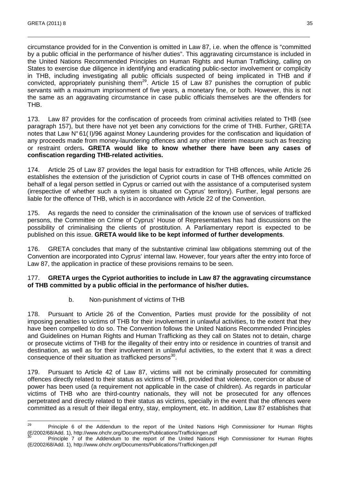circumstance provided for in the Convention is omitted in Law 87, i.e. when the offence is "committed by a public official in the performance of his/her duties". This aggravating circumstance is included in the United Nations Recommended Principles on Human Rights and Human Trafficking, calling on States to exercise due diligence in identifying and eradicating public-sector involvement or complicity in THB, including investigating all public officials suspected of being implicated in THB and if convicted, appropriately punishing them<sup>29</sup>. Article 15 of Law 87 punishes the corruption of public servants with a maximum imprisonment of five years, a monetary fine, or both. However, this is not the same as an aggravating circumstance in case public officials themselves are the offenders for THB.

\_\_\_\_\_\_\_\_\_\_\_\_\_\_\_\_\_\_\_\_\_\_\_\_\_\_\_\_\_\_\_\_\_\_\_\_\_\_\_\_\_\_\_\_\_\_\_\_\_\_\_\_\_\_\_\_\_\_\_\_\_\_\_\_\_\_\_\_\_\_\_\_\_\_\_\_\_\_\_\_\_\_\_\_\_\_\_\_\_\_\_\_\_\_\_\_\_\_\_\_\_\_\_\_\_\_\_\_\_\_\_

173. Law 87 provides for the confiscation of proceeds from criminal activities related to THB (see paragraph 157), but there have not yet been any convictions for the crime of THB. Further, GRETA notes that Law N° 61( Ι)/96 against Money Laundering provides for the confiscation and liquidation of any proceeds made from money-laundering offences and any other interim measure such as freezing or restraint orders**. GRETA would like to know whether there have been any cases of confiscation regarding THB-related activities.**

174. Article 25 of Law 87 provides the legal basis for extradition for THB offences, while Article 26 establishes the extension of the jurisdiction of Cypriot courts in case of THB offences committed on behalf of a legal person settled in Cyprus or carried out with the assistance of a computerised system (irrespective of whether such a system is situated on Cyprus' territory). Further, legal persons are liable for the offence of THB, which is in accordance with Article 22 of the Convention.

175. As regards the need to consider the criminalisation of the known use of services of trafficked persons, the Committee on Crime of Cyprus' House of Representatives has had discussions on the possibility of criminalising the clients of prostitution. A Parliamentary report is expected to be published on this issue. **GRETA would like to be kept informed of further developments**.

176. GRETA concludes that many of the substantive criminal law obligations stemming out of the Convention are incorporated into Cyprus' internal law. However, four years after the entry into force of Law 87, the application in practice of these provisions remains to be seen.

#### 177. **GRETA urges the Cypriot authorities to include in Law 87 the aggravating circumstance of THB committed by a public official in the performance of his/her duties.**

b. Non-punishment of victims of THB

178. Pursuant to Article 26 of the Convention, Parties must provide for the possibility of not imposing penalties to victims of THB for their involvement in unlawful activities, to the extent that they have been compelled to do so. The Convention follows the United Nations Recommended Principles and Guidelines on Human Rights and Human Trafficking as they call on States not to detain, charge or prosecute victims of THB for the illegality of their entry into or residence in countries of transit and destination, as well as for their involvement in unlawful activities, to the extent that it was a direct consequence of their situation as trafficked persons<sup>30</sup>.

179. Pursuant to Article 42 of Law 87, victims will not be criminally prosecuted for committing offences directly related to their status as victims of THB, provided that violence, coercion or abuse of power has been used (a requirement not applicable in the case of children). As regards in particular victims of THB who are third-country nationals, they will not be prosecuted for any offences perpetrated and directly related to their status as victims, specially in the event that the offences were committed as a result of their illegal entry, stay, employment, etc. In addition, Law 87 establishes that

<sup>29</sup> Principle 6 of the Addendum to the report of the United Nations High Commissioner for Human Rights (E/2002/68/Add. 1), http://www.ohchr.org/Documents/Publications/Traffickingen.pdf

Principle 7 of the Addendum to the report of the United Nations High Commissioner for Human Rights (E/2002/68/Add. 1), http://www.ohchr.org/Documents/Publications/Traffickingen.pdf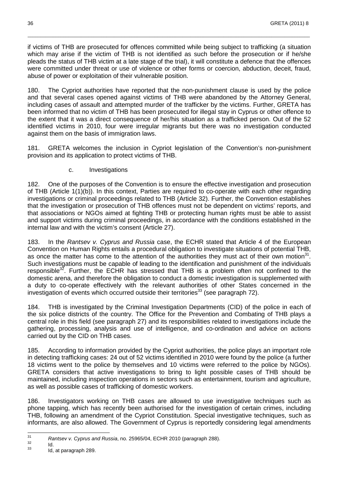if victims of THB are prosecuted for offences committed while being subject to trafficking (a situation which may arise if the victim of THB is not identified as such before the prosecution or if he/she pleads the status of THB victim at a late stage of the trial), it will constitute a defence that the offences were committed under threat or use of violence or other forms or coercion, abduction, deceit, fraud, abuse of power or exploitation of their vulnerable position.

\_\_\_\_\_\_\_\_\_\_\_\_\_\_\_\_\_\_\_\_\_\_\_\_\_\_\_\_\_\_\_\_\_\_\_\_\_\_\_\_\_\_\_\_\_\_\_\_\_\_\_\_\_\_\_\_\_\_\_\_\_\_\_\_\_\_\_\_\_\_\_\_\_\_\_\_\_\_\_\_\_\_\_\_\_\_\_\_\_\_\_\_\_\_\_\_\_\_\_\_\_\_\_\_\_\_\_\_\_\_\_

180. The Cypriot authorities have reported that the non-punishment clause is used by the police and that several cases opened against victims of THB were abandoned by the Attorney General, including cases of assault and attempted murder of the trafficker by the victims. Further, GRETA has been informed that no victim of THB has been prosecuted for illegal stay in Cyprus or other offence to the extent that it was a direct consequence of her/his situation as a trafficked person. Out of the 52 identified victims in 2010, four were irregular migrants but there was no investigation conducted against them on the basis of immigration laws.

181. GRETA welcomes the inclusion in Cypriot legislation of the Convention's non-punishment provision and its application to protect victims of THB.

c. Investigations

182. One of the purposes of the Convention is to ensure the effective investigation and prosecution of THB (Article 1(1)(b)). In this context, Parties are required to co-operate with each other regarding investigations or criminal proceedings related to THB (Article 32). Further, the Convention establishes that the investigation or prosecution of THB offences must not be dependent on victims' reports, and that associations or NGOs aimed at fighting THB or protecting human rights must be able to assist and support victims during criminal proceedings, in accordance with the conditions established in the internal law and with the victim's consent (Article 27).

183. In the Rantsev v. Cyprus and Russia case, the ECHR stated that Article 4 of the European Convention on Human Rights entails a procedural obligation to investigate situations of potential THB, as once the matter has come to the attention of the authorities they must act of their own motion<sup>31</sup>. Such investigations must be capable of leading to the identification and punishment of the individuals responsible $32$ . Further, the ECHR has stressed that THB is a problem often not confined to the domestic arena, and therefore the obligation to conduct a domestic investigation is supplemented with a duty to co-operate effectively with the relevant authorities of other States concerned in the investigation of events which occurred outside their territories<sup>33</sup> (see paragraph  $72$ ).

184. THB is investigated by the Criminal Investigation Departments (CID) of the police in each of the six police districts of the country. The Office for the Prevention and Combating of THB plays a central role in this field (see paragraph 27) and its responsibilities related to investigations include the gathering, processing, analysis and use of intelligence, and co-ordination and advice on actions carried out by the CID on THB cases.

185. According to information provided by the Cypriot authorities, the police plays an important role in detecting trafficking cases: 24 out of 52 victims identified in 2010 were found by the police (a further 18 victims went to the police by themselves and 10 victims were referred to the police by NGOs). GRETA considers that active investigations to bring to light possible cases of THB should be maintained, including inspection operations in sectors such as entertainment, tourism and agriculture, as well as possible cases of trafficking of domestic workers.

186. Investigators working on THB cases are allowed to use investigative techniques such as phone tapping, which has recently been authorised for the investigation of certain crimes, including THB, following an amendment of the Cypriot Constitution. Special investigative techniques, such as informants, are also allowed. The Government of Cyprus is reportedly considering legal amendments

<sup>—&</sup>lt;br>31  $R$ antsev v. Cyprus and Russia, no. 25965/04, ECHR 2010 (paragraph 288).

 $\frac{32}{33}$  Id. Id, at paragraph 289.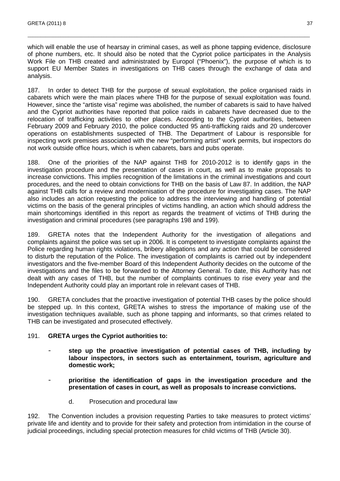which will enable the use of hearsay in criminal cases, as well as phone tapping evidence, disclosure of phone numbers, etc. It should also be noted that the Cypriot police participates in the Analysis Work File on THB created and administrated by Europol ("Phoenix"), the purpose of which is to support EU Member States in investigations on THB cases through the exchange of data and analysis.

\_\_\_\_\_\_\_\_\_\_\_\_\_\_\_\_\_\_\_\_\_\_\_\_\_\_\_\_\_\_\_\_\_\_\_\_\_\_\_\_\_\_\_\_\_\_\_\_\_\_\_\_\_\_\_\_\_\_\_\_\_\_\_\_\_\_\_\_\_\_\_\_\_\_\_\_\_\_\_\_\_\_\_\_\_\_\_\_\_\_\_\_\_\_\_\_\_\_\_\_\_\_\_\_\_\_\_\_\_\_\_

187. In order to detect THB for the purpose of sexual exploitation, the police organised raids in cabarets which were the main places where THB for the purpose of sexual exploitation was found. However, since the "artiste visa" regime was abolished, the number of cabarets is said to have halved and the Cypriot authorities have reported that police raids in cabarets have decreased due to the relocation of trafficking activities to other places. According to the Cypriot authorities, between February 2009 and February 2010, the police conducted 95 anti-trafficking raids and 20 undercover operations on establishments suspected of THB. The Department of Labour is responsible for inspecting work premises associated with the new "performing artist" work permits, but inspectors do not work outside office hours, which is when cabarets, bars and pubs operate.

188. One of the priorities of the NAP against THB for 2010-2012 is to identify gaps in the investigation procedure and the presentation of cases in court, as well as to make proposals to increase convictions. This implies recognition of the limitations in the criminal investigations and court procedures, and the need to obtain convictions for THB on the basis of Law 87. In addition, the NAP against THB calls for a review and modernisation of the procedure for investigating cases. The NAP also includes an action requesting the police to address the interviewing and handling of potential victims on the basis of the general principles of victims handling, an action which should address the main shortcomings identified in this report as regards the treatment of victims of THB during the investigation and criminal procedures (see paragraphs 198 and 199).

189. GRETA notes that the Independent Authority for the investigation of allegations and complaints against the police was set up in 2006. It is competent to investigate complaints against the Police regarding human rights violations, bribery allegations and any action that could be considered to disturb the reputation of the Police. The investigation of complaints is carried out by independent investigators and the five-member Board of this Independent Authority decides on the outcome of the investigations and the files to be forwarded to the Attorney General. To date, this Authority has not dealt with any cases of THB, but the number of complaints continues to rise every year and the Independent Authority could play an important role in relevant cases of THB.

190. GRETA concludes that the proactive investigation of potential THB cases by the police should be stepped up. In this context, GRETA wishes to stress the importance of making use of the investigation techniques available, such as phone tapping and informants, so that crimes related to THB can be investigated and prosecuted effectively.

#### 191. **GRETA urges the Cypriot authorities to:**

- **step up the proactive investigation of potential cases of THB, including by labour inspectors, in sectors such as entertainment, tourism, agriculture and domestic work;**
- **prioritise the identification of gaps in the investigation procedure and the presentation of cases in court, as well as proposals to increase convictions.** 
	- d. Prosecution and procedural law

192. The Convention includes a provision requesting Parties to take measures to protect victims' private life and identity and to provide for their safety and protection from intimidation in the course of judicial proceedings, including special protection measures for child victims of THB (Article 30).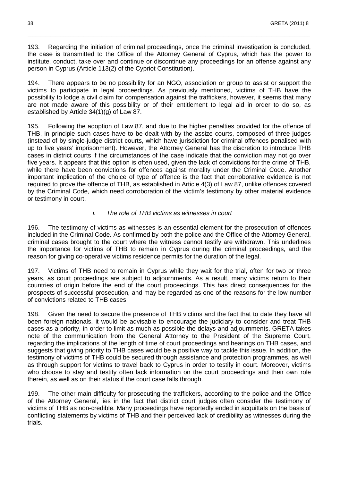193. Regarding the initiation of criminal proceedings, once the criminal investigation is concluded, the case is transmitted to the Office of the Attorney General of Cyprus, which has the power to institute, conduct, take over and continue or discontinue any proceedings for an offense against any person in Cyprus (Article 113(2) of the Cypriot Constitution).

\_\_\_\_\_\_\_\_\_\_\_\_\_\_\_\_\_\_\_\_\_\_\_\_\_\_\_\_\_\_\_\_\_\_\_\_\_\_\_\_\_\_\_\_\_\_\_\_\_\_\_\_\_\_\_\_\_\_\_\_\_\_\_\_\_\_\_\_\_\_\_\_\_\_\_\_\_\_\_\_\_\_\_\_\_\_\_\_\_\_\_\_\_\_\_\_\_\_\_\_\_\_\_\_\_\_\_\_\_\_\_

194. There appears to be no possibility for an NGO, association or group to assist or support the victims to participate in legal proceedings. As previously mentioned, victims of THB have the possibility to lodge a civil claim for compensation against the traffickers, however, it seems that many are not made aware of this possibility or of their entitlement to legal aid in order to do so, as established by Article 34(1)(g) of Law 87.

195. Following the adoption of Law 87, and due to the higher penalties provided for the offence of THB, in principle such cases have to be dealt with by the assize courts, composed of three judges (instead of by single-judge district courts, which have jurisdiction for criminal offences penalised with up to five years' imprisonment). However, the Attorney General has the discretion to introduce THB cases in district courts if the circumstances of the case indicate that the conviction may not go over five years. It appears that this option is often used, given the lack of convictions for the crime of THB, while there have been convictions for offences against morality under the Criminal Code. Another important implication of the choice of type of offence is the fact that corroborative evidence is not required to prove the offence of THB, as established in Article 4(3) of Law 87, unlike offences covered by the Criminal Code, which need corroboration of the victim's testimony by other material evidence or testimony in court.

#### i. The role of THB victims as witnesses in court

196. The testimony of victims as witnesses is an essential element for the prosecution of offences included in the Criminal Code. As confirmed by both the police and the Office of the Attorney General, criminal cases brought to the court where the witness cannot testify are withdrawn. This underlines the importance for victims of THB to remain in Cyprus during the criminal proceedings, and the reason for giving co-operative victims residence permits for the duration of the legal.

197. Victims of THB need to remain in Cyprus while they wait for the trial, often for two or three years, as court proceedings are subject to adjournments. As a result, many victims return to their countries of origin before the end of the court proceedings. This has direct consequences for the prospects of successful prosecution, and may be regarded as one of the reasons for the low number of convictions related to THB cases.

198. Given the need to secure the presence of THB victims and the fact that to date they have all been foreign nationals, it would be advisable to encourage the judiciary to consider and treat THB cases as a priority, in order to limit as much as possible the delays and adjournments. GRETA takes note of the communication from the General Attorney to the President of the Supreme Court, regarding the implications of the length of time of court proceedings and hearings on THB cases, and suggests that giving priority to THB cases would be a positive way to tackle this issue. In addition, the testimony of victims of THB could be secured through assistance and protection programmes, as well as through support for victims to travel back to Cyprus in order to testify in court. Moreover, victims who choose to stay and testify often lack information on the court proceedings and their own role therein, as well as on their status if the court case falls through.

199. The other main difficulty for prosecuting the traffickers, according to the police and the Office of the Attorney General, lies in the fact that district court judges often consider the testimony of victims of THB as non-credible. Many proceedings have reportedly ended in acquittals on the basis of conflicting statements by victims of THB and their perceived lack of credibility as witnesses during the trials.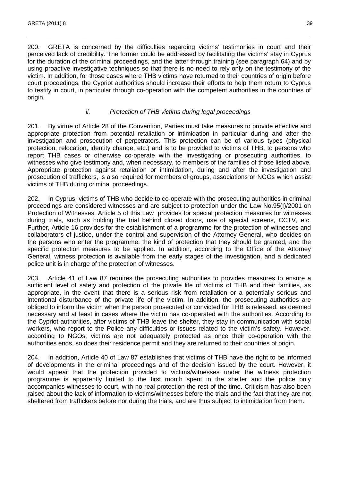200. GRETA is concerned by the difficulties regarding victims' testimonies in court and their perceived lack of credibility. The former could be addressed by facilitating the victims' stay in Cyprus for the duration of the criminal proceedings, and the latter through training (see paragraph 64) and by using proactive investigative techniques so that there is no need to rely only on the testimony of the victim. In addition, for those cases where THB victims have returned to their countries of origin before court proceedings, the Cypriot authorities should increase their efforts to help them return to Cyprus to testify in court, in particular through co-operation with the competent authorities in the countries of origin.

\_\_\_\_\_\_\_\_\_\_\_\_\_\_\_\_\_\_\_\_\_\_\_\_\_\_\_\_\_\_\_\_\_\_\_\_\_\_\_\_\_\_\_\_\_\_\_\_\_\_\_\_\_\_\_\_\_\_\_\_\_\_\_\_\_\_\_\_\_\_\_\_\_\_\_\_\_\_\_\_\_\_\_\_\_\_\_\_\_\_\_\_\_\_\_\_\_\_\_\_\_\_\_\_\_\_\_\_\_\_\_

#### ii. Protection of THB victims during legal proceedings

201. By virtue of Article 28 of the Convention, Parties must take measures to provide effective and appropriate protection from potential retaliation or intimidation in particular during and after the investigation and prosecution of perpetrators. This protection can be of various types (physical protection, relocation, identity change, etc.) and is to be provided to victims of THB, to persons who report THB cases or otherwise co-operate with the investigating or prosecuting authorities, to witnesses who give testimony and, when necessary, to members of the families of those listed above. Appropriate protection against retaliation or intimidation, during and after the investigation and prosecution of traffickers, is also required for members of groups, associations or NGOs which assist victims of THB during criminal proceedings.

202. In Cyprus, victims of THB who decide to co-operate with the prosecuting authorities in criminal proceedings are considered witnesses and are subject to protection under the Law No.95(I)/2001 on Protection of Witnesses. Article 5 of this Law provides for special protection measures for witnesses during trials, such as holding the trial behind closed doors, use of special screens, CCTV, etc. Further, Article 16 provides for the establishment of a programme for the protection of witnesses and collaborators of justice, under the control and supervision of the Attorney General, who decides on the persons who enter the programme, the kind of protection that they should be granted, and the specific protection measures to be applied. In addition, according to the Office of the Attorney General, witness protection is available from the early stages of the investigation, and a dedicated police unit is in charge of the protection of witnesses.

203. Article 41 of Law 87 requires the prosecuting authorities to provides measures to ensure a sufficient level of safety and protection of the private life of victims of THB and their families, as appropriate, in the event that there is a serious risk from retaliation or a potentially serious and intentional disturbance of the private life of the victim. In addition, the prosecuting authorities are obliged to inform the victim when the person prosecuted or convicted for THB is released, as deemed necessary and at least in cases where the victim has co-operated with the authorities. According to the Cypriot authorities, after victims of THB leave the shelter, they stay in communication with social workers, who report to the Police any difficulties or issues related to the victim's safety. However, according to NGOs, victims are not adequately protected as once their co-operation with the authorities ends, so does their residence permit and they are returned to their countries of origin.

204. In addition, Article 40 of Law 87 establishes that victims of THB have the right to be informed of developments in the criminal proceedings and of the decision issued by the court. However, it would appear that the protection provided to victims/witnesses under the witness protection programme is apparently limited to the first month spent in the shelter and the police only accompanies witnesses to court, with no real protection the rest of the time. Criticism has also been raised about the lack of information to victims/witnesses before the trials and the fact that they are not sheltered from traffickers before nor during the trials, and are thus subject to intimidation from them.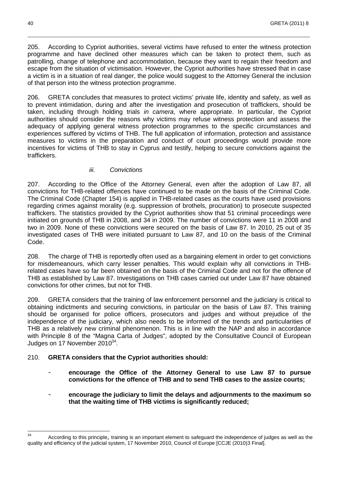205. According to Cypriot authorities, several victims have refused to enter the witness protection programme and have declined other measures which can be taken to protect them, such as patrolling, change of telephone and accommodation, because they want to regain their freedom and escape from the situation of victimisation. However, the Cypriot authorities have stressed that in case a victim is in a situation of real danger, the police would suggest to the Attorney General the inclusion of that person into the witness protection programme.

\_\_\_\_\_\_\_\_\_\_\_\_\_\_\_\_\_\_\_\_\_\_\_\_\_\_\_\_\_\_\_\_\_\_\_\_\_\_\_\_\_\_\_\_\_\_\_\_\_\_\_\_\_\_\_\_\_\_\_\_\_\_\_\_\_\_\_\_\_\_\_\_\_\_\_\_\_\_\_\_\_\_\_\_\_\_\_\_\_\_\_\_\_\_\_\_\_\_\_\_\_\_\_\_\_\_\_\_\_\_\_

206. GRETA concludes that measures to protect victims' private life, identity and safety, as well as to prevent intimidation, during and after the investigation and prosecution of traffickers, should be taken, including through holding trials in camera, where appropriate. In particular, the Cypriot authorities should consider the reasons why victims may refuse witness protection and assess the adequacy of applying general witness protection programmes to the specific circumstances and experiences suffered by victims of THB. The full application of information, protection and assistance measures to victims in the preparation and conduct of court proceedings would provide more incentives for victims of THB to stay in Cyprus and testify, helping to secure convictions against the traffickers.

#### iii. Convictions

207. According to the Office of the Attorney General, even after the adoption of Law 87, all convictions for THB-related offences have continued to be made on the basis of the Criminal Code. The Criminal Code (Chapter 154) is applied in THB-related cases as the courts have used provisions regarding crimes against morality (e.g. suppression of brothels, procuration) to prosecute suspected traffickers. The statistics provided by the Cypriot authorities show that 51 criminal proceedings were initiated on grounds of THB in 2008, and 34 in 2009. The number of convictions were 11 in 2008 and two in 2009. None of these convictions were secured on the basis of Law 87. In 2010, 25 out of 35 investigated cases of THB were initiated pursuant to Law 87, and 10 on the basis of the Criminal Code.

208. The charge of THB is reportedly often used as a bargaining element in order to get convictions for misdemeanours, which carry lesser penalties. This would explain why all convictions in THBrelated cases have so far been obtained on the basis of the Criminal Code and not for the offence of THB as established by Law 87. Investigations on THB cases carried out under Law 87 have obtained convictions for other crimes, but not for THB.

209. GRETA considers that the training of law enforcement personnel and the judiciary is critical to obtaining indictments and securing convictions, in particular on the basis of Law 87. This training should be organised for police officers, prosecutors and judges and without prejudice of the independence of the judiciary, which also needs to be informed of the trends and particularities of THB as a relatively new criminal phenomenon. This is in line with the NAP and also in accordance with Principle 8 of the "Magna Carta of Judges", adopted by the Consultative Council of European Judges on 17 November 2010 $34$ .

### 210. **GRETA considers that the Cypriot authorities should:**

- **encourage the Office of the Attorney General to use Law 87 to pursue convictions for the offence of THB and to send THB cases to the assize courts;**
- **encourage the judiciary to limit the delays and adjournments to the maximum so that the waiting time of THB victims is significantly reduced;**

 34 According to this principle, training is an important element to safeguard the independence of judges as well as the quality and efficiency of the judicial system, 17 November 2010, Council of Europe [CCJE (2010)3 Final].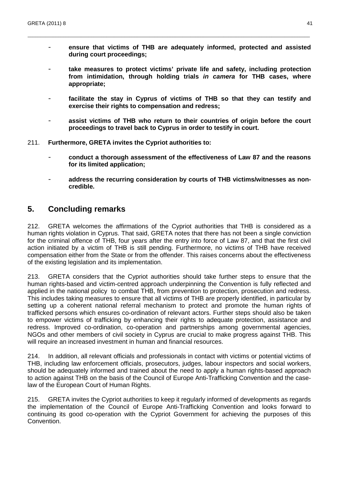- **ensure that victims of THB are adequately informed, protected and assisted during court proceedings;** 

\_\_\_\_\_\_\_\_\_\_\_\_\_\_\_\_\_\_\_\_\_\_\_\_\_\_\_\_\_\_\_\_\_\_\_\_\_\_\_\_\_\_\_\_\_\_\_\_\_\_\_\_\_\_\_\_\_\_\_\_\_\_\_\_\_\_\_\_\_\_\_\_\_\_\_\_\_\_\_\_\_\_\_\_\_\_\_\_\_\_\_\_\_\_\_\_\_\_\_\_\_\_\_\_\_\_\_\_\_\_\_

- take measures to protect victims' private life and safety, including protection **from intimidation, through holding trials in camera for THB cases, where appropriate;**
- **facilitate the stay in Cyprus of victims of THB so that they can testify and exercise their rights to compensation and redress;**
- **assist victims of THB who return to their countries of origin before the court proceedings to travel back to Cyprus in order to testify in court.**
- 211. **Furthermore, GRETA invites the Cypriot authorities to:** 
	- **conduct a thorough assessment of the effectiveness of Law 87 and the reasons for its limited application;**
	- **address the recurring consideration by courts of THB victims/witnesses as noncredible.**

## **5. Concluding remarks**

212. GRETA welcomes the affirmations of the Cypriot authorities that THB is considered as a human rights violation in Cyprus. That said, GRETA notes that there has not been a single conviction for the criminal offence of THB, four years after the entry into force of Law 87, and that the first civil action initiated by a victim of THB is still pending. Furthermore, no victims of THB have received compensation either from the State or from the offender. This raises concerns about the effectiveness of the existing legislation and its implementation.

213. GRETA considers that the Cypriot authorities should take further steps to ensure that the human rights-based and victim-centred approach underpinning the Convention is fully reflected and applied in the national policy to combat THB, from prevention to protection, prosecution and redress. This includes taking measures to ensure that all victims of THB are properly identified, in particular by setting up a coherent national referral mechanism to protect and promote the human rights of trafficked persons which ensures co-ordination of relevant actors. Further steps should also be taken to empower victims of trafficking by enhancing their rights to adequate protection, assistance and redress. Improved co-ordination, co-operation and partnerships among governmental agencies, NGOs and other members of civil society in Cyprus are crucial to make progress against THB. This will require an increased investment in human and financial resources.

214. In addition, all relevant officials and professionals in contact with victims or potential victims of THB, including law enforcement officials, prosecutors, judges, labour inspectors and social workers, should be adequately informed and trained about the need to apply a human rights-based approach to action against THB on the basis of the Council of Europe Anti-Trafficking Convention and the caselaw of the European Court of Human Rights.

215. GRETA invites the Cypriot authorities to keep it regularly informed of developments as regards the implementation of the Council of Europe Anti-Trafficking Convention and looks forward to continuing its good co-operation with the Cypriot Government for achieving the purposes of this Convention.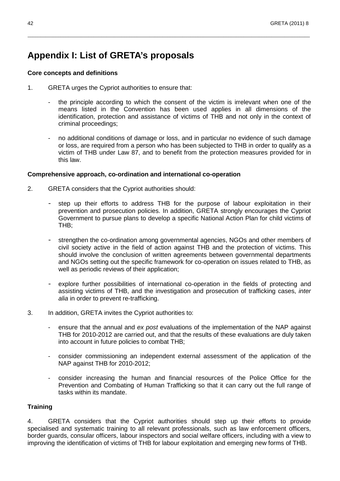## **Appendix I: List of GRETA's proposals**

#### **Core concepts and definitions**

- 1. GRETA urges the Cypriot authorities to ensure that:
	- the principle according to which the consent of the victim is irrelevant when one of the means listed in the Convention has been used applies in all dimensions of the identification, protection and assistance of victims of THB and not only in the context of criminal proceedings;

\_\_\_\_\_\_\_\_\_\_\_\_\_\_\_\_\_\_\_\_\_\_\_\_\_\_\_\_\_\_\_\_\_\_\_\_\_\_\_\_\_\_\_\_\_\_\_\_\_\_\_\_\_\_\_\_\_\_\_\_\_\_\_\_\_\_\_\_\_\_\_\_\_\_\_\_\_\_\_\_\_\_\_\_\_\_\_\_\_\_\_\_\_\_\_\_\_\_\_\_\_\_\_\_\_\_\_\_\_\_\_

- no additional conditions of damage or loss, and in particular no evidence of such damage or loss, are required from a person who has been subjected to THB in order to qualify as a victim of THB under Law 87, and to benefit from the protection measures provided for in this law.

#### **Comprehensive approach, co-ordination and international co-operation**

- 2. GRETA considers that the Cypriot authorities should:
	- step up their efforts to address THB for the purpose of labour exploitation in their prevention and prosecution policies. In addition, GRETA strongly encourages the Cypriot Government to pursue plans to develop a specific National Action Plan for child victims of THB;
	- strengthen the co-ordination among governmental agencies, NGOs and other members of civil society active in the field of action against THB and the protection of victims. This should involve the conclusion of written agreements between governmental departments and NGOs setting out the specific framework for co-operation on issues related to THB, as well as periodic reviews of their application;
	- explore further possibilities of international co-operation in the fields of protecting and assisting victims of THB, and the investigation and prosecution of trafficking cases, inter alia in order to prevent re-trafficking.
- 3. In addition, GRETA invites the Cypriot authorities to:
	- ensure that the annual and ex post evaluations of the implementation of the NAP against THB for 2010-2012 are carried out, and that the results of these evaluations are duly taken into account in future policies to combat THB;
	- consider commissioning an independent external assessment of the application of the NAP against THB for 2010-2012;
	- consider increasing the human and financial resources of the Police Office for the Prevention and Combating of Human Trafficking so that it can carry out the full range of tasks within its mandate.

#### **Training**

4. GRETA considers that the Cypriot authorities should step up their efforts to provide specialised and systematic training to all relevant professionals, such as law enforcement officers, border guards, consular officers, labour inspectors and social welfare officers, including with a view to improving the identification of victims of THB for labour exploitation and emerging new forms of THB.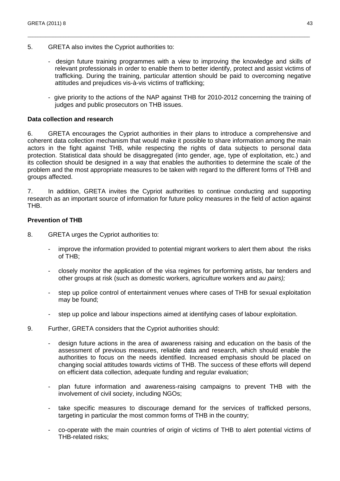- 5. GRETA also invites the Cypriot authorities to:
	- design future training programmes with a view to improving the knowledge and skills of relevant professionals in order to enable them to better identify, protect and assist victims of trafficking. During the training, particular attention should be paid to overcoming negative attitudes and prejudices vis-à-vis victims of trafficking;

\_\_\_\_\_\_\_\_\_\_\_\_\_\_\_\_\_\_\_\_\_\_\_\_\_\_\_\_\_\_\_\_\_\_\_\_\_\_\_\_\_\_\_\_\_\_\_\_\_\_\_\_\_\_\_\_\_\_\_\_\_\_\_\_\_\_\_\_\_\_\_\_\_\_\_\_\_\_\_\_\_\_\_\_\_\_\_\_\_\_\_\_\_\_\_\_\_\_\_\_\_\_\_\_\_\_\_\_\_\_\_

- give priority to the actions of the NAP against THB for 2010-2012 concerning the training of judges and public prosecutors on THB issues.

#### **Data collection and research**

6. GRETA encourages the Cypriot authorities in their plans to introduce a comprehensive and coherent data collection mechanism that would make it possible to share information among the main actors in the fight against THB, while respecting the rights of data subjects to personal data protection. Statistical data should be disaggregated (into gender, age, type of exploitation, etc.) and its collection should be designed in a way that enables the authorities to determine the scale of the problem and the most appropriate measures to be taken with regard to the different forms of THB and groups affected.

7. In addition, GRETA invites the Cypriot authorities to continue conducting and supporting research as an important source of information for future policy measures in the field of action against THB.

#### **Prevention of THB**

- 8. GRETA urges the Cypriot authorities to:
	- improve the information provided to potential migrant workers to alert them about the risks of THB;
	- closely monitor the application of the visa regimes for performing artists, bar tenders and other groups at risk (such as domestic workers, agriculture workers and au pairs);
	- step up police control of entertainment venues where cases of THB for sexual exploitation may be found;
	- step up police and labour inspections aimed at identifying cases of labour exploitation.
- 9. Further, GRETA considers that the Cypriot authorities should:
	- design future actions in the area of awareness raising and education on the basis of the assessment of previous measures, reliable data and research, which should enable the authorities to focus on the needs identified. Increased emphasis should be placed on changing social attitudes towards victims of THB. The success of these efforts will depend on efficient data collection, adequate funding and regular evaluation;
	- plan future information and awareness-raising campaigns to prevent THB with the involvement of civil society, including NGOs;
	- take specific measures to discourage demand for the services of trafficked persons, targeting in particular the most common forms of THB in the country;
	- co-operate with the main countries of origin of victims of THB to alert potential victims of THB-related risks;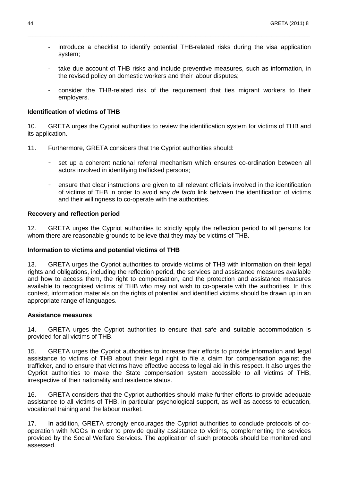introduce a checklist to identify potential THB-related risks during the visa application system;

\_\_\_\_\_\_\_\_\_\_\_\_\_\_\_\_\_\_\_\_\_\_\_\_\_\_\_\_\_\_\_\_\_\_\_\_\_\_\_\_\_\_\_\_\_\_\_\_\_\_\_\_\_\_\_\_\_\_\_\_\_\_\_\_\_\_\_\_\_\_\_\_\_\_\_\_\_\_\_\_\_\_\_\_\_\_\_\_\_\_\_\_\_\_\_\_\_\_\_\_\_\_\_\_\_\_\_\_\_\_\_

- take due account of THB risks and include preventive measures, such as information, in the revised policy on domestic workers and their labour disputes;
- consider the THB-related risk of the requirement that ties migrant workers to their employers.

#### **Identification of victims of THB**

10. GRETA urges the Cypriot authorities to review the identification system for victims of THB and its application.

- 11. Furthermore, GRETA considers that the Cypriot authorities should:
	- set up a coherent national referral mechanism which ensures co-ordination between all actors involved in identifying trafficked persons;
	- ensure that clear instructions are given to all relevant officials involved in the identification of victims of THB in order to avoid any de facto link between the identification of victims and their willingness to co-operate with the authorities.

#### **Recovery and reflection period**

12. GRETA urges the Cypriot authorities to strictly apply the reflection period to all persons for whom there are reasonable grounds to believe that they may be victims of THB.

#### **Information to victims and potential victims of THB**

13. GRETA urges the Cypriot authorities to provide victims of THB with information on their legal rights and obligations, including the reflection period, the services and assistance measures available and how to access them, the right to compensation, and the protection and assistance measures available to recognised victims of THB who may not wish to co-operate with the authorities. In this context, information materials on the rights of potential and identified victims should be drawn up in an appropriate range of languages.

#### **Assistance measures**

14. GRETA urges the Cypriot authorities to ensure that safe and suitable accommodation is provided for all victims of THB.

15. GRETA urges the Cypriot authorities to increase their efforts to provide information and legal assistance to victims of THB about their legal right to file a claim for compensation against the trafficker, and to ensure that victims have effective access to legal aid in this respect. It also urges the Cypriot authorities to make the State compensation system accessible to all victims of THB, irrespective of their nationality and residence status.

16. GRETA considers that the Cypriot authorities should make further efforts to provide adequate assistance to all victims of THB, in particular psychological support, as well as access to education, vocational training and the labour market.

17. In addition, GRETA strongly encourages the Cypriot authorities to conclude protocols of cooperation with NGOs in order to provide quality assistance to victims, complementing the services provided by the Social Welfare Services. The application of such protocols should be monitored and assessed.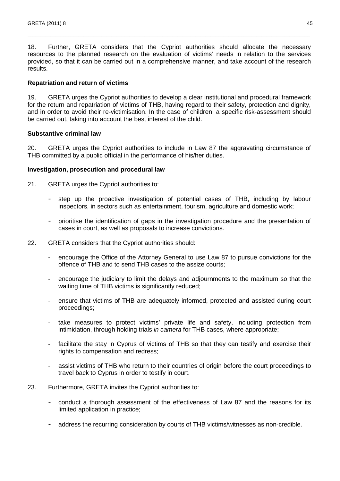18. Further, GRETA considers that the Cypriot authorities should allocate the necessary resources to the planned research on the evaluation of victims' needs in relation to the services provided, so that it can be carried out in a comprehensive manner, and take account of the research results.

\_\_\_\_\_\_\_\_\_\_\_\_\_\_\_\_\_\_\_\_\_\_\_\_\_\_\_\_\_\_\_\_\_\_\_\_\_\_\_\_\_\_\_\_\_\_\_\_\_\_\_\_\_\_\_\_\_\_\_\_\_\_\_\_\_\_\_\_\_\_\_\_\_\_\_\_\_\_\_\_\_\_\_\_\_\_\_\_\_\_\_\_\_\_\_\_\_\_\_\_\_\_\_\_\_\_\_\_\_\_\_

#### **Repatriation and return of victims**

19. GRETA urges the Cypriot authorities to develop a clear institutional and procedural framework for the return and repatriation of victims of THB, having regard to their safety, protection and dignity, and in order to avoid their re-victimisation. In the case of children, a specific risk-assessment should be carried out, taking into account the best interest of the child.

#### **Substantive criminal law**

20. GRETA urges the Cypriot authorities to include in Law 87 the aggravating circumstance of THB committed by a public official in the performance of his/her duties.

#### **Investigation, prosecution and procedural law**

- 21. GRETA urges the Cypriot authorities to:
	- step up the proactive investigation of potential cases of THB, including by labour inspectors, in sectors such as entertainment, tourism, agriculture and domestic work;
	- prioritise the identification of gaps in the investigation procedure and the presentation of cases in court, as well as proposals to increase convictions.
- 22. GRETA considers that the Cypriot authorities should:
	- encourage the Office of the Attorney General to use Law 87 to pursue convictions for the offence of THB and to send THB cases to the assize courts;
	- encourage the judiciary to limit the delays and adjournments to the maximum so that the waiting time of THB victims is significantly reduced;
	- ensure that victims of THB are adequately informed, protected and assisted during court proceedings;
	- take measures to protect victims' private life and safety, including protection from intimidation, through holding trials in camera for THB cases, where appropriate;
	- facilitate the stay in Cyprus of victims of THB so that they can testify and exercise their rights to compensation and redress;
	- assist victims of THB who return to their countries of origin before the court proceedings to travel back to Cyprus in order to testify in court.
- 23. Furthermore, GRETA invites the Cypriot authorities to:
	- conduct a thorough assessment of the effectiveness of Law 87 and the reasons for its limited application in practice;
	- address the recurring consideration by courts of THB victims/witnesses as non-credible.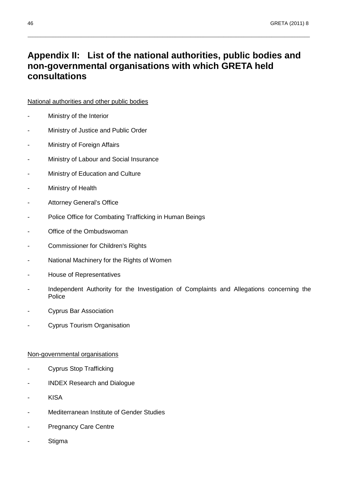## **Appendix II: List of the national authorities, public bodies and non-governmental organisations with which GRETA held consultations**

\_\_\_\_\_\_\_\_\_\_\_\_\_\_\_\_\_\_\_\_\_\_\_\_\_\_\_\_\_\_\_\_\_\_\_\_\_\_\_\_\_\_\_\_\_\_\_\_\_\_\_\_\_\_\_\_\_\_\_\_\_\_\_\_\_\_\_\_\_\_\_\_\_\_\_\_\_\_\_\_\_\_\_\_\_\_\_\_\_\_\_\_\_\_\_\_\_\_\_\_\_\_\_\_\_\_\_\_\_\_\_

### National authorities and other public bodies

- Ministry of the Interior
- Ministry of Justice and Public Order
- Ministry of Foreign Affairs
- Ministry of Labour and Social Insurance
- Ministry of Education and Culture
- Ministry of Health
- Attorney General's Office
- Police Office for Combating Trafficking in Human Beings
- Office of the Ombudswoman
- Commissioner for Children's Rights
- National Machinery for the Rights of Women
- House of Representatives
- Independent Authority for the Investigation of Complaints and Allegations concerning the Police
- Cyprus Bar Association
- Cyprus Tourism Organisation

## Non-governmental organisations

- Cyprus Stop Trafficking
- INDEX Research and Dialogue
- **KISA**
- Mediterranean Institute of Gender Studies
- Pregnancy Care Centre
- Stigma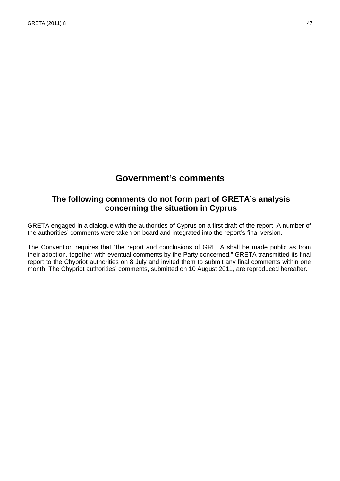## **Government's comments**

\_\_\_\_\_\_\_\_\_\_\_\_\_\_\_\_\_\_\_\_\_\_\_\_\_\_\_\_\_\_\_\_\_\_\_\_\_\_\_\_\_\_\_\_\_\_\_\_\_\_\_\_\_\_\_\_\_\_\_\_\_\_\_\_\_\_\_\_\_\_\_\_\_\_\_\_\_\_\_\_\_\_\_\_\_\_\_\_\_\_\_\_\_\_\_\_\_\_\_\_\_\_\_\_\_\_\_\_\_\_\_

## **The following comments do not form part of GRETA's analysis concerning the situation in Cyprus**

GRETA engaged in a dialogue with the authorities of Cyprus on a first draft of the report. A number of the authorities' comments were taken on board and integrated into the report's final version.

The Convention requires that "the report and conclusions of GRETA shall be made public as from their adoption, together with eventual comments by the Party concerned." GRETA transmitted its final report to the Chypriot authorities on 8 July and invited them to submit any final comments within one month. The Chypriot authorities' comments, submitted on 10 August 2011, are reproduced hereafter.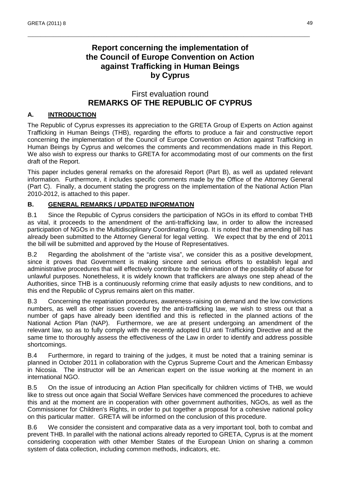## **Report concerning the implementation of the Council of Europe Convention on Action against Trafficking in Human Beings by Cyprus**

\_\_\_\_\_\_\_\_\_\_\_\_\_\_\_\_\_\_\_\_\_\_\_\_\_\_\_\_\_\_\_\_\_\_\_\_\_\_\_\_\_\_\_\_\_\_\_\_\_\_\_\_\_\_\_\_\_\_\_\_\_\_\_\_\_\_\_\_\_\_\_\_\_\_\_\_\_\_\_\_\_\_\_\_\_\_\_\_\_\_\_\_\_\_\_\_\_\_\_\_\_\_\_\_\_\_\_\_\_\_\_

## First evaluation round **REMARKS OF THE REPUBLIC OF CYPRUS**

### **A. INTRODUCTION**

The Republic of Cyprus expresses its appreciation to the GRETA Group of Experts on Action against Trafficking in Human Beings (THB), regarding the efforts to produce a fair and constructive report concerning the implementation of the Council of Europe Convention on Action against Trafficking in Human Beings by Cyprus and welcomes the comments and recommendations made in this Report. We also wish to express our thanks to GRETA for accommodating most of our comments on the first draft of the Report.

This paper includes general remarks on the aforesaid Report (Part B), as well as updated relevant information. Furthermore, it includes specific comments made by the Office of the Attorney General (Part C). Finally, a document stating the progress on the implementation of the National Action Plan 2010-2012, is attached to this paper.

#### **B. GENERAL REMARKS / UPDATED INFORMATION**

B.1 Since the Republic of Cyprus considers the participation of NGOs in its efford to combat THB as vital, it proceeds to the amendment of the anti-trafficking law, in order to allow the increased participation of NGOs in the Multidisciplinary Coordinating Group. It is noted that the amending bill has already been submitted to the Attorney General for legal vetting. We expect that by the end of 2011 the bill will be submitted and approved by the House of Representatives.

B.2 Regarding the abolishment of the "artiste visa", we consider this as a positive development, since it proves that Government is making sincere and serious efforts to establish legal and administrative procedures that will effectively contribute to the elimination of the possibility of abuse for unlawful purposes. Nonetheless, it is widely known that traffickers are always one step ahead of the Authorities, since THB is a continuously reforming crime that easily adjusts to new conditions, and to this end the Republic of Cyprus remains alert on this matter.

B.3 Concerning the repatriation procedures, awareness-raising on demand and the low convictions numbers, as well as other issues covered by the anti-trafficking law, we wish to stress out that a number of gaps have already been identified and this is reflected in the planned actions of the National Action Plan (NAP). Furthermore, we are at present undergoing an amendment of the relevant law, so as to fully comply with the recently adopted EU anti Trafficking Directive and at the same time to thoroughly assess the effectiveness of the Law in order to identify and address possible shortcomings.

B.4 Furthermore, in regard to training of the judges, it must be noted that a training seminar is planned in October 2011 in collaboration with the Cyprus Supreme Court and the American Embassy in Nicosia. The instructor will be an American expert on the issue working at the moment in an international NGO.

B.5 On the issue of introducing an Action Plan specifically for children victims of THB, we would like to stress out once again that Social Welfare Services have commenced the procedures to achieve this and at the moment are in cooperation with other government authorities, NGOs, as well as the Commissioner for Children's Rights, in order to put together a proposal for a cohesive national policy on this particular matter. GRETA will be informed on the conclusion of this procedure.

B.6 We consider the consistent and comparative data as a very important tool, both to combat and prevent THB. In parallel with the national actions already reported to GRETA, Cyprus is at the moment considering cooperation with other Member States of the European Union on sharing a common system of data collection, including common methods, indicators, etc.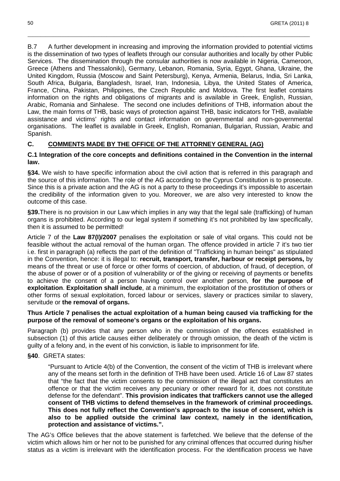B.7 A further development in increasing and improving the information provided to potential victims is the dissemination of two types of leaflets through our consular authorities and locally by other Public Services. The dissemination through the consular authorities is now available in Nigeria, Cameroon, Greece (Athens and Thessaloniki), Germany, Lebanon, Romania, Syria, Egypt, Ghana, Ukraine, the United Kingdom, Russia (Moscow and Saint Petersburg), Kenya, Armenia, Belarus, India, Sri Lanka, South Africa, Bulgaria, Bangladesh, Israel, Iran, Indonesia, Libya, the United States of America, France, China, Pakistan, Philippines, the Czech Republic and Moldova. The first leaflet contains information on the rights and obligations of migrants and is available in Greek, English, Russian, Arabic, Romania and Sinhalese. The second one includes definitions of THB, information about the Law, the main forms of THB, basic ways of protection against THB, basic indicators for THB, available assistance and victims' rights and contact information on governmental and non-governmental organisations. The leaflet is available in Greek, English, Romanian, Bulgarian, Russian, Arabic and Spanish.

\_\_\_\_\_\_\_\_\_\_\_\_\_\_\_\_\_\_\_\_\_\_\_\_\_\_\_\_\_\_\_\_\_\_\_\_\_\_\_\_\_\_\_\_\_\_\_\_\_\_\_\_\_\_\_\_\_\_\_\_\_\_\_\_\_\_\_\_\_\_\_\_\_\_\_\_\_\_\_\_\_\_\_\_\_\_\_\_\_\_\_\_\_\_\_\_\_\_\_\_\_\_\_\_\_\_\_\_\_\_\_

#### **C. COMMENTS MADE BY THE OFFICE OF THE ATTORNEY GENERAL (AG)**

#### **C.1 Integration of the core concepts and definitions contained in the Convention in the internal law.**

**§34.** We wish to have specific information about the civil action that is referred in this paragraph and the source of this information. The role of the AG according to the Cyprus Constitution is to prosecute. Since this is a private action and the AG is not a party to these proceedings it's impossible to ascertain the credibility of the information given to you. Moreover, we are also very interested to know the outcome of this case.

**§39.**There is no provision in our Law which implies in any way that the legal sale (trafficking) of human organs is prohibited. According to our legal system if something it's not prohibited by law specifically, then it is assumed to be permitted!

Article 7 of the **Law 87(I)/2007** penalises the exploitation or sale of vital organs. This could not be feasible without the actual removal of the human organ. The offence provided in article 7 it's two tier i.e. first in paragraph (a) reflects the part of the definition of "Trafficking in human beings" as stipulated in the Convention, hence: it is illegal to: **recruit, transport, transfer, harbour or receipt persons,** by means of the threat or use of force or other forms of coercion, of abduction, of fraud, of deception, of the abuse of power or of a position of vulnerability or of the giving or receiving of payments or benefits to achieve the consent of a person having control over another person, **for the purpose of exploitation**. **Exploitation shall include**, at a minimum, the exploitation of the prostitution of others or other forms of sexual exploitation, forced labour or services, slavery or practices similar to slavery, servitude or **the removal of organs.** 

#### **Thus Article 7 penalises the actual exploitation of a human being caused via trafficking for the purpose of the removal of someone's organs or the exploitation of his organs.**

Paragraph (b) provides that any person who in the commission of the offences established in subsection (1) of this article causes either deliberately or through omission, the death of the victim is guilty of a felony and, in the event of his conviction, is liable to imprisonment for life.

#### **§40**. GRETA states:

 "Pursuant to Article 4(b) of the Convention, the consent of the victim of THB is irrelevant where any of the means set forth in the definition of THB have been used. Article 16 of Law 87 states that "the fact that the victim consents to the commission of the illegal act that constitutes an offence or that the victim receives any pecuniary or other reward for it, does not constitute defense for the defendant". **This provision indicates that traffickers cannot use the alleged consent of THB victims to defend themselves in the framework of criminal proceedings. This does not fully reflect the Convention's approach to the issue of consent, which is also to be applied outside the criminal law context, namely in the identification, protection and assistance of victims.".** 

The AG's Office believes that the above statement is farfetched. We believe that the defense of the victim which allows him or her not to be punished for any criminal offences that occurred during his/her status as a victim is irrelevant with the identification process. For the identification process we have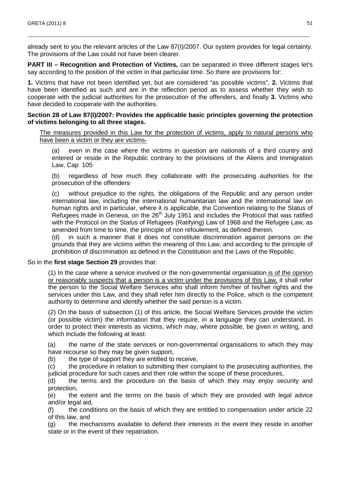already sent to you the relevant articles of the Law 87(I)/2007. Our system provides for legal certainty. The provisions of the Law could not have been clearer.

\_\_\_\_\_\_\_\_\_\_\_\_\_\_\_\_\_\_\_\_\_\_\_\_\_\_\_\_\_\_\_\_\_\_\_\_\_\_\_\_\_\_\_\_\_\_\_\_\_\_\_\_\_\_\_\_\_\_\_\_\_\_\_\_\_\_\_\_\_\_\_\_\_\_\_\_\_\_\_\_\_\_\_\_\_\_\_\_\_\_\_\_\_\_\_\_\_\_\_\_\_\_\_\_\_\_\_\_\_\_\_

**PART III – Recognition and Protection of Victims, can be separated in three different stages let's** say according to the position of the victim in that particular time. So there are provisions for:

**1.** Victims that have not been identified yet, but are considered "as possible victims", **2.** Victims that have been identified as such and are in the reflection period as to assess whether they wish to cooperate with the judicial authorities for the prosecution of the offenders, and finally **3.** Victims who have decided to cooperate with the authorities.

#### **Section 28 of Law 87(I)/2007: Provides the applicable basic principles governing the protection of victims belonging to all three stages.**

The measures provided in this Law for the protection of victims, apply to natural persons who have been a victim or they are victims-

(a) even in the case where the victims in question are nationals of a third country and entered or reside in the Republic contrary to the provisions of the Aliens and Immigration Law, Cap 105·

(b) regardless of how much they collaborate with the prosecuting authorities for the prosecution of the offenders·

(c) without prejudice to the rights, the obligations of the Republic and any person under international law, including the international humanitarian law and the international law on human rights and in particular, where it is applicable, the Convention relating to the Status of Refugees made in Geneva, on the 26<sup>th</sup> July 1951 and includes the Protocol that was ratified with the Protocol on the Status of Refugees (Ratifying) Law of 1968 and the Refugee Law, as amended from time to time, the principle of non refoulement, as defined therein.

(d) in such a manner that it does not constitute discrimination against persons on the grounds that they are victims within the meaning of this Law, and according to the principle of prohibition of discrimination as defined in the Constitution and the Laws of the Republic.

#### So in the **first stage Section 29** provides that:

 (1) In the case where a service involved or the non-governmental organisation is of the opinion or reasonably suspects that a person is a victim under the provisions of this Law, it shall refer the person to the Social Welfare Services who shall inform him/her of his/her rights and the services under this Law, and they shall refer him directly to the Police, which is the competent authority to determine and identify whether the said person is a victim.

 (2) On the basis of subsection (1) of this article, the Social Welfare Services provide the victim (or possible victim) the information that they require, in a language they can understand, in order to protect their interests as victims, which may, where possible, be given in writing, and which include the following at least:

(a) the name of the state services or non-governmental organisations to which they may have recourse so they may be given support,

(b) the type of support they are entitled to receive,

(c) the procedure in relation to submitting their complaint to the prosecuting authorities, the judicial procedure for such cases and their role within the scope of these procedures,

(d) the terms and the procedure on the basis of which they may enjoy security and protection,

(e) the extent and the terms on the basis of which they are provided with legal advice and/or legal aid,

(f) the conditions on the basis of which they are entitled to compensation under article 22 of this law, and

(g) the mechanisms available to defend their interests in the event they reside in another state or in the event of their repatriation.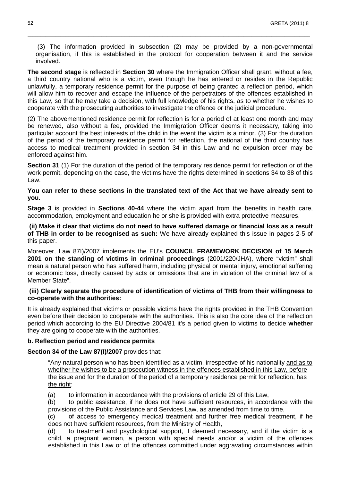(3) The information provided in subsection (2) may be provided by a non-governmental organisation, if this is established in the protocol for cooperation between it and the service involved.

\_\_\_\_\_\_\_\_\_\_\_\_\_\_\_\_\_\_\_\_\_\_\_\_\_\_\_\_\_\_\_\_\_\_\_\_\_\_\_\_\_\_\_\_\_\_\_\_\_\_\_\_\_\_\_\_\_\_\_\_\_\_\_\_\_\_\_\_\_\_\_\_\_\_\_\_\_\_\_\_\_\_\_\_\_\_\_\_\_\_\_\_\_\_\_\_\_\_\_\_\_\_\_\_\_\_\_\_\_\_\_

**The second stage** is reflected in **Section 30** where the Immigration Officer shall grant, without a fee, a third country national who is a victim, even though he has entered or resides in the Republic unlawfully, a temporary residence permit for the purpose of being granted a reflection period, which will allow him to recover and escape the influence of the perpetrators of the offences established in this Law, so that he may take a decision, with full knowledge of his rights, as to whether he wishes to cooperate with the prosecuting authorities to investigate the offence or the judicial procedure.

(2) The abovementioned residence permit for reflection is for a period of at least one month and may be renewed, also without a fee, provided the Immigration Officer deems it necessary, taking into particular account the best interests of the child in the event the victim is a minor. (3) For the duration of the period of the temporary residence permit for reflection, the national of the third country has access to medical treatment provided in section 34 in this Law and no expulsion order may be enforced against him.

**Section 31** (1) For the duration of the period of the temporary residence permit for reflection or of the work permit, depending on the case, the victims have the rights determined in sections 34 to 38 of this Law.

#### **You can refer to these sections in the translated text of the Act that we have already sent to you.**

**Stage 3** is provided in **Sections 40-44** where the victim apart from the benefits in health care, accommodation, employment and education he or she is provided with extra protective measures.

 **(ii) Make it clear that victims do not need to have suffered damage or financial loss as a result of THB in order to be recognised as such:** We have already explained this issue in pages 2-5 of this paper.

Moreover, Law 87I)/2007 implements the EU's **COUNCIL FRAMEWORK DECISION of 15 March 2001 on the standing of victims in criminal proceedings** (2001/220/JHA), where "victim" shall mean a natural person who has suffered harm, including physical or mental injury, emotional suffering or economic loss, directly caused by acts or omissions that are in violation of the criminal law of a Member State".

#### **(iii) Clearly separate the procedure of identification of victims of THB from their willingness to co-operate with the authorities:**

It is already explained that victims or possible victims have the rights provided in the THB Convention even before their decision to cooperate with the authorities. This is also the core idea of the reflection period which according to the EU Directive 2004/81 it's a period given to victims to decide **whether**  they are going to cooperate with the authorities.

#### **b. Reflection period and residence permits**

#### **Section 34 of the Law 87(I)/2007** provides that:

 "Any natural person who has been identified as a victim, irrespective of his nationality and as to whether he wishes to be a prosecution witness in the offences established in this Law, before the issue and for the duration of the period of a temporary residence permit for reflection, has the right:

(a) to information in accordance with the provisions of article 29 of this Law,

(b) to public assistance, if he does not have sufficient resources, in accordance with the provisions of the Public Assistance and Services Law, as amended from time to time,

(c) of access to emergency medical treatment and further free medical treatment, if he does not have sufficient resources, from the Ministry of Health,

(d) to treatment and psychological support, if deemed necessary, and if the victim is a child, a pregnant woman, a person with special needs and/or a victim of the offences established in this Law or of the offences committed under aggravating circumstances within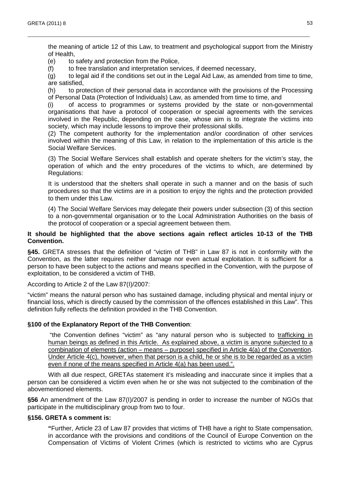the meaning of article 12 of this Law, to treatment and psychological support from the Ministry of Health,

\_\_\_\_\_\_\_\_\_\_\_\_\_\_\_\_\_\_\_\_\_\_\_\_\_\_\_\_\_\_\_\_\_\_\_\_\_\_\_\_\_\_\_\_\_\_\_\_\_\_\_\_\_\_\_\_\_\_\_\_\_\_\_\_\_\_\_\_\_\_\_\_\_\_\_\_\_\_\_\_\_\_\_\_\_\_\_\_\_\_\_\_\_\_\_\_\_\_\_\_\_\_\_\_\_\_\_\_\_\_\_

(e) to safety and protection from the Police,

(f) to free translation and interpretation services, if deemed necessary,

(g) to legal aid if the conditions set out in the Legal Aid Law, as amended from time to time, are satisfied,

(h) to protection of their personal data in accordance with the provisions of the Processing of Personal Data (Protection of Individuals) Law, as amended from time to time, and

(i) of access to programmes or systems provided by the state or non-governmental organisations that have a protocol of cooperation or special agreements with the services involved in the Republic, depending on the case, whose aim is to integrate the victims into society, which may include lessons to improve their professional skills.

(2) The competent authority for the implementation and/or coordination of other services involved within the meaning of this Law, in relation to the implementation of this article is the Social Welfare Services.

 (3) The Social Welfare Services shall establish and operate shelters for the victim's stay, the operation of which and the entry procedures of the victims to which, are determined by Regulations:

 It is understood that the shelters shall operate in such a manner and on the basis of such procedures so that the victims are in a position to enjoy the rights and the protection provided to them under this Law.

 (4) The Social Welfare Services may delegate their powers under subsection (3) of this section to a non-governmental organisation or to the Local Administration Authorities on the basis of the protocol of cooperation or a special agreement between them.

#### **It should be highlighted that the above sections again reflect articles 10-13 of the THB Convention.**

**§45.** GRETA stresses that the definition of "victim of THB" in Law 87 is not in conformity with the Convention, as the latter requires neither damage nor even actual exploitation. It is sufficient for a person to have been subject to the actions and means specified in the Convention, with the purpose of exploitation, to be considered a victim of THB.

According to Article 2 of the Law 87(I)/2007:

"victim" means the natural person who has sustained damage, including physical and mental injury or financial loss, which is directly caused by the commission of the offences established in this Law". This definition fully reflects the definition provided in the THB Convention.

#### **§100 of the Explanatory Report of the THB Convention**:

 "the Convention defines "victim" as "any natural person who is subjected to trafficking in human beings as defined in this Article. As explained above, a victim is anyone subjected to a combination of elements (action – means – purpose) specified in Article 4(a) of the Convention. Under Article 4(c), however, when that person is a child, he or she is to be regarded as a victim even if none of the means specified in Article 4(a) has been used.".

With all due respect, GRETAs statement it's misleading and inaccurate since it implies that a person can be considered a victim even when he or she was not subjected to the combination of the abovementioned elements.

**§56** An amendment of the Law 87(I)/2007 is pending in order to increase the number of NGOs that participate in the multidisciplinary group from two to four.

#### **§156. GRETA s comment is:**

 **"**Further, Article 23 of Law 87 provides that victims of THB have a right to State compensation, in accordance with the provisions and conditions of the Council of Europe Convention on the Compensation of Victims of Violent Crimes (which is restricted to victims who are Cyprus